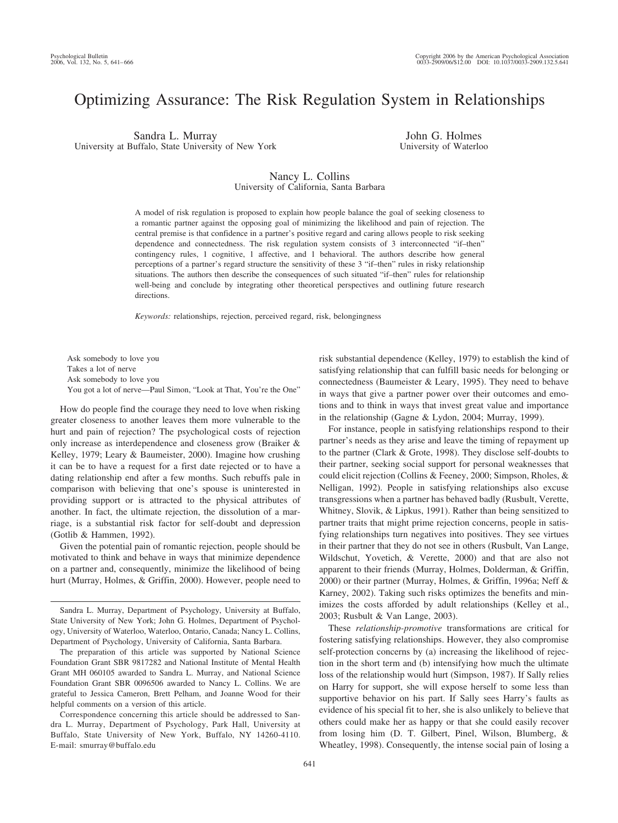# Optimizing Assurance: The Risk Regulation System in Relationships

Sandra L. Murray University at Buffalo, State University of New York

John G. Holmes University of Waterloo

# Nancy L. Collins

University of California, Santa Barbara

A model of risk regulation is proposed to explain how people balance the goal of seeking closeness to a romantic partner against the opposing goal of minimizing the likelihood and pain of rejection. The central premise is that confidence in a partner's positive regard and caring allows people to risk seeking dependence and connectedness. The risk regulation system consists of 3 interconnected "if–then" contingency rules, 1 cognitive, 1 affective, and 1 behavioral. The authors describe how general perceptions of a partner's regard structure the sensitivity of these 3 "if–then" rules in risky relationship situations. The authors then describe the consequences of such situated "if–then" rules for relationship well-being and conclude by integrating other theoretical perspectives and outlining future research directions.

*Keywords:* relationships, rejection, perceived regard, risk, belongingness

Ask somebody to love you Takes a lot of nerve Ask somebody to love you You got a lot of nerve—Paul Simon, "Look at That, You're the One"

How do people find the courage they need to love when risking greater closeness to another leaves them more vulnerable to the hurt and pain of rejection? The psychological costs of rejection only increase as interdependence and closeness grow (Braiker & Kelley, 1979; Leary & Baumeister, 2000). Imagine how crushing it can be to have a request for a first date rejected or to have a dating relationship end after a few months. Such rebuffs pale in comparison with believing that one's spouse is uninterested in providing support or is attracted to the physical attributes of another. In fact, the ultimate rejection, the dissolution of a marriage, is a substantial risk factor for self-doubt and depression (Gotlib & Hammen, 1992).

Given the potential pain of romantic rejection, people should be motivated to think and behave in ways that minimize dependence on a partner and, consequently, minimize the likelihood of being hurt (Murray, Holmes, & Griffin, 2000). However, people need to

Correspondence concerning this article should be addressed to Sandra L. Murray, Department of Psychology, Park Hall, University at Buffalo, State University of New York, Buffalo, NY 14260-4110. E-mail: smurray@buffalo.edu

risk substantial dependence (Kelley, 1979) to establish the kind of satisfying relationship that can fulfill basic needs for belonging or connectedness (Baumeister & Leary, 1995). They need to behave in ways that give a partner power over their outcomes and emotions and to think in ways that invest great value and importance in the relationship (Gagne & Lydon, 2004; Murray, 1999).

For instance, people in satisfying relationships respond to their partner's needs as they arise and leave the timing of repayment up to the partner (Clark & Grote, 1998). They disclose self-doubts to their partner, seeking social support for personal weaknesses that could elicit rejection (Collins & Feeney, 2000; Simpson, Rholes, & Nelligan, 1992). People in satisfying relationships also excuse transgressions when a partner has behaved badly (Rusbult, Verette, Whitney, Slovik, & Lipkus, 1991). Rather than being sensitized to partner traits that might prime rejection concerns, people in satisfying relationships turn negatives into positives. They see virtues in their partner that they do not see in others (Rusbult, Van Lange, Wildschut, Yovetich, & Verette, 2000) and that are also not apparent to their friends (Murray, Holmes, Dolderman, & Griffin, 2000) or their partner (Murray, Holmes, & Griffin, 1996a; Neff & Karney, 2002). Taking such risks optimizes the benefits and minimizes the costs afforded by adult relationships (Kelley et al., 2003; Rusbult & Van Lange, 2003).

These *relationship-promotive* transformations are critical for fostering satisfying relationships. However, they also compromise self-protection concerns by (a) increasing the likelihood of rejection in the short term and (b) intensifying how much the ultimate loss of the relationship would hurt (Simpson, 1987). If Sally relies on Harry for support, she will expose herself to some less than supportive behavior on his part. If Sally sees Harry's faults as evidence of his special fit to her, she is also unlikely to believe that others could make her as happy or that she could easily recover from losing him (D. T. Gilbert, Pinel, Wilson, Blumberg, & Wheatley, 1998). Consequently, the intense social pain of losing a

Sandra L. Murray, Department of Psychology, University at Buffalo, State University of New York; John G. Holmes, Department of Psychology, University of Waterloo, Waterloo, Ontario, Canada; Nancy L. Collins, Department of Psychology, University of California, Santa Barbara.

The preparation of this article was supported by National Science Foundation Grant SBR 9817282 and National Institute of Mental Health Grant MH 060105 awarded to Sandra L. Murray, and National Science Foundation Grant SBR 0096506 awarded to Nancy L. Collins. We are grateful to Jessica Cameron, Brett Pelham, and Joanne Wood for their helpful comments on a version of this article.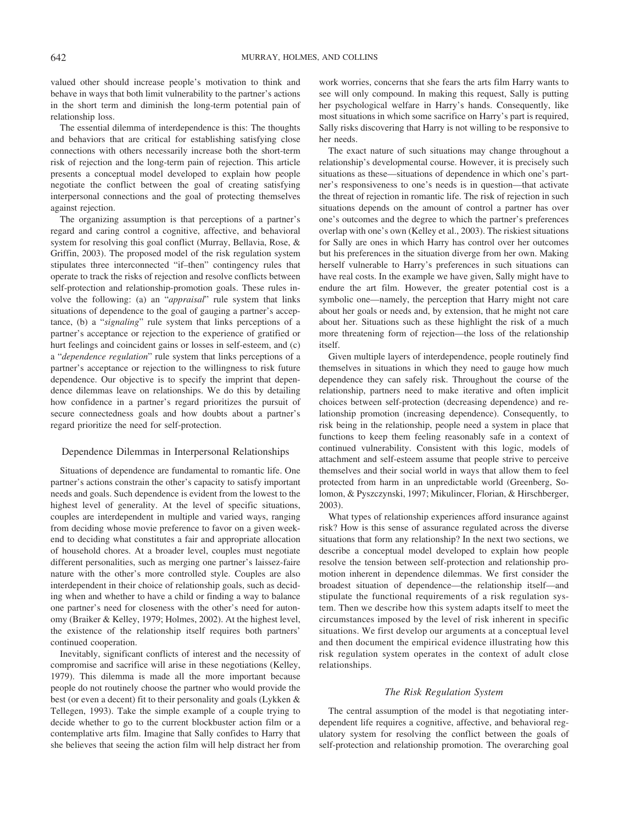valued other should increase people's motivation to think and behave in ways that both limit vulnerability to the partner's actions in the short term and diminish the long-term potential pain of relationship loss.

The essential dilemma of interdependence is this: The thoughts and behaviors that are critical for establishing satisfying close connections with others necessarily increase both the short-term risk of rejection and the long-term pain of rejection. This article presents a conceptual model developed to explain how people negotiate the conflict between the goal of creating satisfying interpersonal connections and the goal of protecting themselves against rejection.

The organizing assumption is that perceptions of a partner's regard and caring control a cognitive, affective, and behavioral system for resolving this goal conflict (Murray, Bellavia, Rose, & Griffin, 2003). The proposed model of the risk regulation system stipulates three interconnected "if–then" contingency rules that operate to track the risks of rejection and resolve conflicts between self-protection and relationship-promotion goals. These rules involve the following: (a) an "*appraisal*" rule system that links situations of dependence to the goal of gauging a partner's acceptance, (b) a "*signaling*" rule system that links perceptions of a partner's acceptance or rejection to the experience of gratified or hurt feelings and coincident gains or losses in self-esteem, and (c) a "*dependence regulation*" rule system that links perceptions of a partner's acceptance or rejection to the willingness to risk future dependence. Our objective is to specify the imprint that dependence dilemmas leave on relationships. We do this by detailing how confidence in a partner's regard prioritizes the pursuit of secure connectedness goals and how doubts about a partner's regard prioritize the need for self-protection.

#### Dependence Dilemmas in Interpersonal Relationships

Situations of dependence are fundamental to romantic life. One partner's actions constrain the other's capacity to satisfy important needs and goals. Such dependence is evident from the lowest to the highest level of generality. At the level of specific situations, couples are interdependent in multiple and varied ways, ranging from deciding whose movie preference to favor on a given weekend to deciding what constitutes a fair and appropriate allocation of household chores. At a broader level, couples must negotiate different personalities, such as merging one partner's laissez-faire nature with the other's more controlled style. Couples are also interdependent in their choice of relationship goals, such as deciding when and whether to have a child or finding a way to balance one partner's need for closeness with the other's need for autonomy (Braiker & Kelley, 1979; Holmes, 2002). At the highest level, the existence of the relationship itself requires both partners' continued cooperation.

Inevitably, significant conflicts of interest and the necessity of compromise and sacrifice will arise in these negotiations (Kelley, 1979). This dilemma is made all the more important because people do not routinely choose the partner who would provide the best (or even a decent) fit to their personality and goals (Lykken & Tellegen, 1993). Take the simple example of a couple trying to decide whether to go to the current blockbuster action film or a contemplative arts film. Imagine that Sally confides to Harry that she believes that seeing the action film will help distract her from

work worries, concerns that she fears the arts film Harry wants to see will only compound. In making this request, Sally is putting her psychological welfare in Harry's hands. Consequently, like most situations in which some sacrifice on Harry's part is required, Sally risks discovering that Harry is not willing to be responsive to her needs.

The exact nature of such situations may change throughout a relationship's developmental course. However, it is precisely such situations as these—situations of dependence in which one's partner's responsiveness to one's needs is in question—that activate the threat of rejection in romantic life. The risk of rejection in such situations depends on the amount of control a partner has over one's outcomes and the degree to which the partner's preferences overlap with one's own (Kelley et al., 2003). The riskiest situations for Sally are ones in which Harry has control over her outcomes but his preferences in the situation diverge from her own. Making herself vulnerable to Harry's preferences in such situations can have real costs. In the example we have given, Sally might have to endure the art film. However, the greater potential cost is a symbolic one—namely, the perception that Harry might not care about her goals or needs and, by extension, that he might not care about her. Situations such as these highlight the risk of a much more threatening form of rejection—the loss of the relationship itself.

Given multiple layers of interdependence, people routinely find themselves in situations in which they need to gauge how much dependence they can safely risk. Throughout the course of the relationship, partners need to make iterative and often implicit choices between self-protection (decreasing dependence) and relationship promotion (increasing dependence). Consequently, to risk being in the relationship, people need a system in place that functions to keep them feeling reasonably safe in a context of continued vulnerability. Consistent with this logic, models of attachment and self-esteem assume that people strive to perceive themselves and their social world in ways that allow them to feel protected from harm in an unpredictable world (Greenberg, Solomon, & Pyszczynski, 1997; Mikulincer, Florian, & Hirschberger, 2003).

What types of relationship experiences afford insurance against risk? How is this sense of assurance regulated across the diverse situations that form any relationship? In the next two sections, we describe a conceptual model developed to explain how people resolve the tension between self-protection and relationship promotion inherent in dependence dilemmas. We first consider the broadest situation of dependence—the relationship itself—and stipulate the functional requirements of a risk regulation system. Then we describe how this system adapts itself to meet the circumstances imposed by the level of risk inherent in specific situations. We first develop our arguments at a conceptual level and then document the empirical evidence illustrating how this risk regulation system operates in the context of adult close relationships.

### *The Risk Regulation System*

The central assumption of the model is that negotiating interdependent life requires a cognitive, affective, and behavioral regulatory system for resolving the conflict between the goals of self-protection and relationship promotion. The overarching goal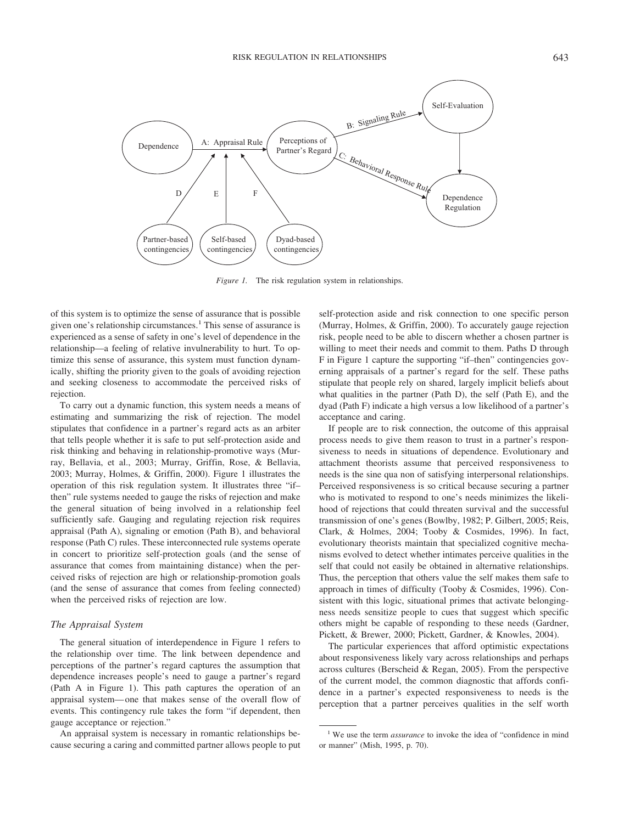



*Figure 1.* The risk regulation system in relationships.

of this system is to optimize the sense of assurance that is possible given one's relationship circumstances.1 This sense of assurance is experienced as a sense of safety in one's level of dependence in the relationship—a feeling of relative invulnerability to hurt. To optimize this sense of assurance, this system must function dynamically, shifting the priority given to the goals of avoiding rejection and seeking closeness to accommodate the perceived risks of rejection.

To carry out a dynamic function, this system needs a means of estimating and summarizing the risk of rejection. The model stipulates that confidence in a partner's regard acts as an arbiter that tells people whether it is safe to put self-protection aside and risk thinking and behaving in relationship-promotive ways (Murray, Bellavia, et al., 2003; Murray, Griffin, Rose, & Bellavia, 2003; Murray, Holmes, & Griffin, 2000). Figure 1 illustrates the operation of this risk regulation system. It illustrates three "if– then" rule systems needed to gauge the risks of rejection and make the general situation of being involved in a relationship feel sufficiently safe. Gauging and regulating rejection risk requires appraisal (Path A), signaling or emotion (Path B), and behavioral response (Path C) rules. These interconnected rule systems operate in concert to prioritize self-protection goals (and the sense of assurance that comes from maintaining distance) when the perceived risks of rejection are high or relationship-promotion goals (and the sense of assurance that comes from feeling connected) when the perceived risks of rejection are low.

#### *The Appraisal System*

The general situation of interdependence in Figure 1 refers to the relationship over time. The link between dependence and perceptions of the partner's regard captures the assumption that dependence increases people's need to gauge a partner's regard (Path A in Figure 1). This path captures the operation of an appraisal system— one that makes sense of the overall flow of events. This contingency rule takes the form "if dependent, then gauge acceptance or rejection."

An appraisal system is necessary in romantic relationships because securing a caring and committed partner allows people to put self-protection aside and risk connection to one specific person (Murray, Holmes, & Griffin, 2000). To accurately gauge rejection risk, people need to be able to discern whether a chosen partner is willing to meet their needs and commit to them. Paths D through F in Figure 1 capture the supporting "if–then" contingencies governing appraisals of a partner's regard for the self. These paths stipulate that people rely on shared, largely implicit beliefs about what qualities in the partner (Path D), the self (Path E), and the dyad (Path F) indicate a high versus a low likelihood of a partner's acceptance and caring.

If people are to risk connection, the outcome of this appraisal process needs to give them reason to trust in a partner's responsiveness to needs in situations of dependence. Evolutionary and attachment theorists assume that perceived responsiveness to needs is the sine qua non of satisfying interpersonal relationships. Perceived responsiveness is so critical because securing a partner who is motivated to respond to one's needs minimizes the likelihood of rejections that could threaten survival and the successful transmission of one's genes (Bowlby, 1982; P. Gilbert, 2005; Reis, Clark, & Holmes, 2004; Tooby & Cosmides, 1996). In fact, evolutionary theorists maintain that specialized cognitive mechanisms evolved to detect whether intimates perceive qualities in the self that could not easily be obtained in alternative relationships. Thus, the perception that others value the self makes them safe to approach in times of difficulty (Tooby & Cosmides, 1996). Consistent with this logic, situational primes that activate belongingness needs sensitize people to cues that suggest which specific others might be capable of responding to these needs (Gardner, Pickett, & Brewer, 2000; Pickett, Gardner, & Knowles, 2004).

The particular experiences that afford optimistic expectations about responsiveness likely vary across relationships and perhaps across cultures (Berscheid & Regan, 2005). From the perspective of the current model, the common diagnostic that affords confidence in a partner's expected responsiveness to needs is the perception that a partner perceives qualities in the self worth

<sup>&</sup>lt;sup>1</sup> We use the term *assurance* to invoke the idea of "confidence in mind or manner" (Mish, 1995, p. 70).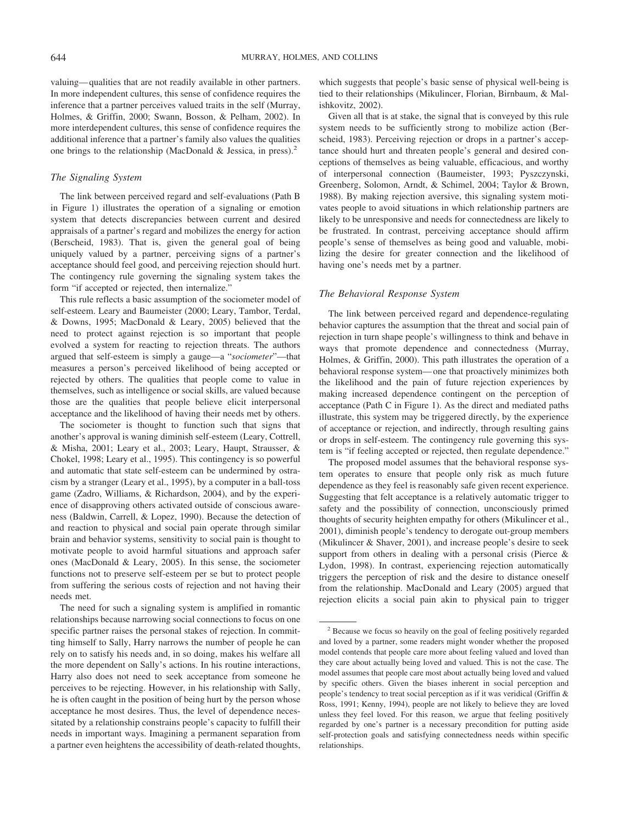valuing— qualities that are not readily available in other partners. In more independent cultures, this sense of confidence requires the inference that a partner perceives valued traits in the self (Murray, Holmes, & Griffin, 2000; Swann, Bosson, & Pelham, 2002). In more interdependent cultures, this sense of confidence requires the additional inference that a partner's family also values the qualities one brings to the relationship (MacDonald & Jessica, in press).2

#### *The Signaling System*

The link between perceived regard and self-evaluations (Path B in Figure 1) illustrates the operation of a signaling or emotion system that detects discrepancies between current and desired appraisals of a partner's regard and mobilizes the energy for action (Berscheid, 1983). That is, given the general goal of being uniquely valued by a partner, perceiving signs of a partner's acceptance should feel good, and perceiving rejection should hurt. The contingency rule governing the signaling system takes the form "if accepted or rejected, then internalize."

This rule reflects a basic assumption of the sociometer model of self-esteem. Leary and Baumeister (2000; Leary, Tambor, Terdal, & Downs, 1995; MacDonald & Leary, 2005) believed that the need to protect against rejection is so important that people evolved a system for reacting to rejection threats. The authors argued that self-esteem is simply a gauge—a "*sociometer*"—that measures a person's perceived likelihood of being accepted or rejected by others. The qualities that people come to value in themselves, such as intelligence or social skills, are valued because those are the qualities that people believe elicit interpersonal acceptance and the likelihood of having their needs met by others.

The sociometer is thought to function such that signs that another's approval is waning diminish self-esteem (Leary, Cottrell, & Misha, 2001; Leary et al., 2003; Leary, Haupt, Strausser, & Chokel, 1998; Leary et al., 1995). This contingency is so powerful and automatic that state self-esteem can be undermined by ostracism by a stranger (Leary et al., 1995), by a computer in a ball-toss game (Zadro, Williams, & Richardson, 2004), and by the experience of disapproving others activated outside of conscious awareness (Baldwin, Carrell, & Lopez, 1990). Because the detection of and reaction to physical and social pain operate through similar brain and behavior systems, sensitivity to social pain is thought to motivate people to avoid harmful situations and approach safer ones (MacDonald & Leary, 2005). In this sense, the sociometer functions not to preserve self-esteem per se but to protect people from suffering the serious costs of rejection and not having their needs met.

The need for such a signaling system is amplified in romantic relationships because narrowing social connections to focus on one specific partner raises the personal stakes of rejection. In committing himself to Sally, Harry narrows the number of people he can rely on to satisfy his needs and, in so doing, makes his welfare all the more dependent on Sally's actions. In his routine interactions, Harry also does not need to seek acceptance from someone he perceives to be rejecting. However, in his relationship with Sally, he is often caught in the position of being hurt by the person whose acceptance he most desires. Thus, the level of dependence necessitated by a relationship constrains people's capacity to fulfill their needs in important ways. Imagining a permanent separation from a partner even heightens the accessibility of death-related thoughts, which suggests that people's basic sense of physical well-being is tied to their relationships (Mikulincer, Florian, Birnbaum, & Malishkovitz, 2002).

Given all that is at stake, the signal that is conveyed by this rule system needs to be sufficiently strong to mobilize action (Berscheid, 1983). Perceiving rejection or drops in a partner's acceptance should hurt and threaten people's general and desired conceptions of themselves as being valuable, efficacious, and worthy of interpersonal connection (Baumeister, 1993; Pyszczynski, Greenberg, Solomon, Arndt, & Schimel, 2004; Taylor & Brown, 1988). By making rejection aversive, this signaling system motivates people to avoid situations in which relationship partners are likely to be unresponsive and needs for connectedness are likely to be frustrated. In contrast, perceiving acceptance should affirm people's sense of themselves as being good and valuable, mobilizing the desire for greater connection and the likelihood of having one's needs met by a partner.

### *The Behavioral Response System*

The link between perceived regard and dependence-regulating behavior captures the assumption that the threat and social pain of rejection in turn shape people's willingness to think and behave in ways that promote dependence and connectedness (Murray, Holmes, & Griffin, 2000). This path illustrates the operation of a behavioral response system— one that proactively minimizes both the likelihood and the pain of future rejection experiences by making increased dependence contingent on the perception of acceptance (Path C in Figure 1). As the direct and mediated paths illustrate, this system may be triggered directly, by the experience of acceptance or rejection, and indirectly, through resulting gains or drops in self-esteem. The contingency rule governing this system is "if feeling accepted or rejected, then regulate dependence."

The proposed model assumes that the behavioral response system operates to ensure that people only risk as much future dependence as they feel is reasonably safe given recent experience. Suggesting that felt acceptance is a relatively automatic trigger to safety and the possibility of connection, unconsciously primed thoughts of security heighten empathy for others (Mikulincer et al., 2001), diminish people's tendency to derogate out-group members (Mikulincer & Shaver, 2001), and increase people's desire to seek support from others in dealing with a personal crisis (Pierce & Lydon, 1998). In contrast, experiencing rejection automatically triggers the perception of risk and the desire to distance oneself from the relationship. MacDonald and Leary (2005) argued that rejection elicits a social pain akin to physical pain to trigger

<sup>&</sup>lt;sup>2</sup> Because we focus so heavily on the goal of feeling positively regarded and loved by a partner, some readers might wonder whether the proposed model contends that people care more about feeling valued and loved than they care about actually being loved and valued. This is not the case. The model assumes that people care most about actually being loved and valued by specific others. Given the biases inherent in social perception and people's tendency to treat social perception as if it was veridical (Griffin & Ross, 1991; Kenny, 1994), people are not likely to believe they are loved unless they feel loved. For this reason, we argue that feeling positively regarded by one's partner is a necessary precondition for putting aside self-protection goals and satisfying connectedness needs within specific relationships.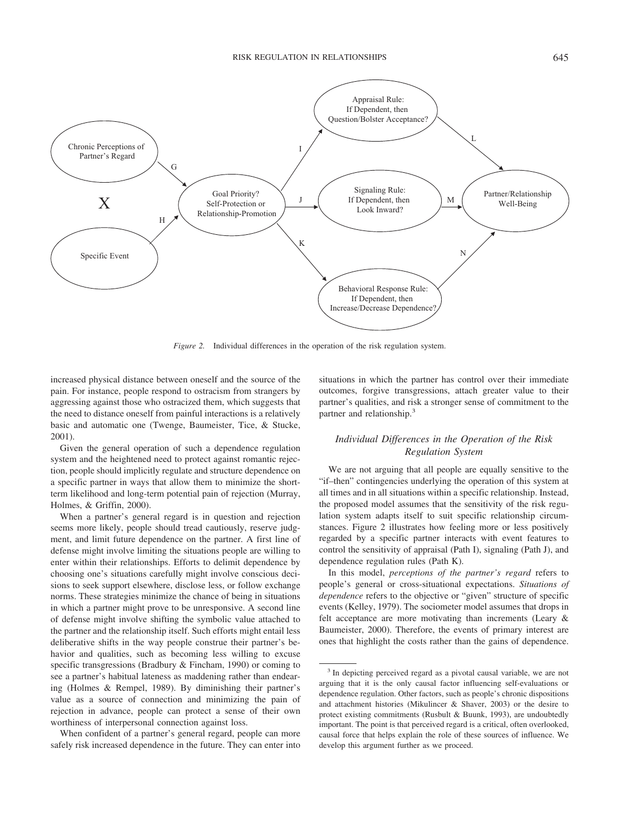

*Figure 2.* Individual differences in the operation of the risk regulation system.

increased physical distance between oneself and the source of the pain. For instance, people respond to ostracism from strangers by aggressing against those who ostracized them, which suggests that the need to distance oneself from painful interactions is a relatively basic and automatic one (Twenge, Baumeister, Tice, & Stucke, 2001).

Given the general operation of such a dependence regulation system and the heightened need to protect against romantic rejection, people should implicitly regulate and structure dependence on a specific partner in ways that allow them to minimize the shortterm likelihood and long-term potential pain of rejection (Murray, Holmes, & Griffin, 2000).

When a partner's general regard is in question and rejection seems more likely, people should tread cautiously, reserve judgment, and limit future dependence on the partner. A first line of defense might involve limiting the situations people are willing to enter within their relationships. Efforts to delimit dependence by choosing one's situations carefully might involve conscious decisions to seek support elsewhere, disclose less, or follow exchange norms. These strategies minimize the chance of being in situations in which a partner might prove to be unresponsive. A second line of defense might involve shifting the symbolic value attached to the partner and the relationship itself. Such efforts might entail less deliberative shifts in the way people construe their partner's behavior and qualities, such as becoming less willing to excuse specific transgressions (Bradbury & Fincham, 1990) or coming to see a partner's habitual lateness as maddening rather than endearing (Holmes & Rempel, 1989). By diminishing their partner's value as a source of connection and minimizing the pain of rejection in advance, people can protect a sense of their own worthiness of interpersonal connection against loss.

When confident of a partner's general regard, people can more safely risk increased dependence in the future. They can enter into situations in which the partner has control over their immediate outcomes, forgive transgressions, attach greater value to their partner's qualities, and risk a stronger sense of commitment to the partner and relationship.3

### *Individual Differences in the Operation of the Risk Regulation System*

We are not arguing that all people are equally sensitive to the "if–then" contingencies underlying the operation of this system at all times and in all situations within a specific relationship. Instead, the proposed model assumes that the sensitivity of the risk regulation system adapts itself to suit specific relationship circumstances. Figure 2 illustrates how feeling more or less positively regarded by a specific partner interacts with event features to control the sensitivity of appraisal (Path I), signaling (Path J), and dependence regulation rules (Path K).

In this model, *perceptions of the partner's regard* refers to people's general or cross-situational expectations. *Situations of dependence* refers to the objective or "given" structure of specific events (Kelley, 1979). The sociometer model assumes that drops in felt acceptance are more motivating than increments (Leary & Baumeister, 2000). Therefore, the events of primary interest are ones that highlight the costs rather than the gains of dependence.

<sup>&</sup>lt;sup>3</sup> In depicting perceived regard as a pivotal causal variable, we are not arguing that it is the only causal factor influencing self-evaluations or dependence regulation. Other factors, such as people's chronic dispositions and attachment histories (Mikulincer & Shaver, 2003) or the desire to protect existing commitments (Rusbult & Buunk, 1993), are undoubtedly important. The point is that perceived regard is a critical, often overlooked, causal force that helps explain the role of these sources of influence. We develop this argument further as we proceed.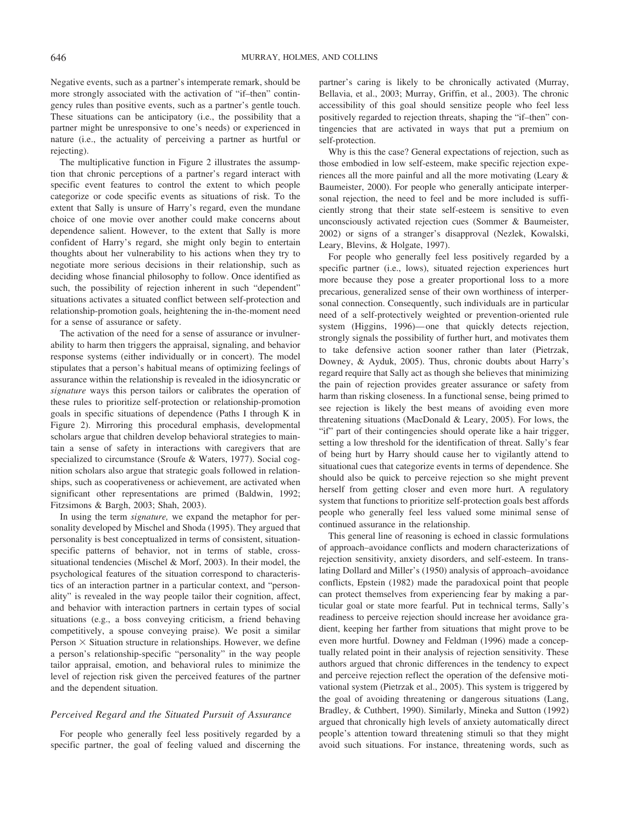Negative events, such as a partner's intemperate remark, should be more strongly associated with the activation of "if–then" contingency rules than positive events, such as a partner's gentle touch. These situations can be anticipatory (i.e., the possibility that a partner might be unresponsive to one's needs) or experienced in nature (i.e., the actuality of perceiving a partner as hurtful or rejecting).

The multiplicative function in Figure 2 illustrates the assumption that chronic perceptions of a partner's regard interact with specific event features to control the extent to which people categorize or code specific events as situations of risk. To the extent that Sally is unsure of Harry's regard, even the mundane choice of one movie over another could make concerns about dependence salient. However, to the extent that Sally is more confident of Harry's regard, she might only begin to entertain thoughts about her vulnerability to his actions when they try to negotiate more serious decisions in their relationship, such as deciding whose financial philosophy to follow. Once identified as such, the possibility of rejection inherent in such "dependent" situations activates a situated conflict between self-protection and relationship-promotion goals, heightening the in-the-moment need for a sense of assurance or safety.

The activation of the need for a sense of assurance or invulnerability to harm then triggers the appraisal, signaling, and behavior response systems (either individually or in concert). The model stipulates that a person's habitual means of optimizing feelings of assurance within the relationship is revealed in the idiosyncratic or *signature* ways this person tailors or calibrates the operation of these rules to prioritize self-protection or relationship-promotion goals in specific situations of dependence (Paths I through K in Figure 2). Mirroring this procedural emphasis, developmental scholars argue that children develop behavioral strategies to maintain a sense of safety in interactions with caregivers that are specialized to circumstance (Sroufe & Waters, 1977). Social cognition scholars also argue that strategic goals followed in relationships, such as cooperativeness or achievement, are activated when significant other representations are primed (Baldwin, 1992; Fitzsimons & Bargh, 2003; Shah, 2003).

In using the term *signature,* we expand the metaphor for personality developed by Mischel and Shoda (1995). They argued that personality is best conceptualized in terms of consistent, situationspecific patterns of behavior, not in terms of stable, crosssituational tendencies (Mischel & Morf, 2003). In their model, the psychological features of the situation correspond to characteristics of an interaction partner in a particular context, and "personality" is revealed in the way people tailor their cognition, affect, and behavior with interaction partners in certain types of social situations (e.g., a boss conveying criticism, a friend behaving competitively, a spouse conveying praise). We posit a similar Person  $\times$  Situation structure in relationships. However, we define a person's relationship-specific "personality" in the way people tailor appraisal, emotion, and behavioral rules to minimize the level of rejection risk given the perceived features of the partner and the dependent situation.

### *Perceived Regard and the Situated Pursuit of Assurance*

For people who generally feel less positively regarded by a specific partner, the goal of feeling valued and discerning the partner's caring is likely to be chronically activated (Murray, Bellavia, et al., 2003; Murray, Griffin, et al., 2003). The chronic accessibility of this goal should sensitize people who feel less positively regarded to rejection threats, shaping the "if–then" contingencies that are activated in ways that put a premium on self-protection.

Why is this the case? General expectations of rejection, such as those embodied in low self-esteem, make specific rejection experiences all the more painful and all the more motivating (Leary & Baumeister, 2000). For people who generally anticipate interpersonal rejection, the need to feel and be more included is sufficiently strong that their state self-esteem is sensitive to even unconsciously activated rejection cues (Sommer & Baumeister, 2002) or signs of a stranger's disapproval (Nezlek, Kowalski, Leary, Blevins, & Holgate, 1997).

For people who generally feel less positively regarded by a specific partner (i.e., lows), situated rejection experiences hurt more because they pose a greater proportional loss to a more precarious, generalized sense of their own worthiness of interpersonal connection. Consequently, such individuals are in particular need of a self-protectively weighted or prevention-oriented rule system (Higgins, 1996)— one that quickly detects rejection, strongly signals the possibility of further hurt, and motivates them to take defensive action sooner rather than later (Pietrzak, Downey, & Ayduk, 2005). Thus, chronic doubts about Harry's regard require that Sally act as though she believes that minimizing the pain of rejection provides greater assurance or safety from harm than risking closeness. In a functional sense, being primed to see rejection is likely the best means of avoiding even more threatening situations (MacDonald & Leary, 2005). For lows, the "if" part of their contingencies should operate like a hair trigger, setting a low threshold for the identification of threat. Sally's fear of being hurt by Harry should cause her to vigilantly attend to situational cues that categorize events in terms of dependence. She should also be quick to perceive rejection so she might prevent herself from getting closer and even more hurt. A regulatory system that functions to prioritize self-protection goals best affords people who generally feel less valued some minimal sense of continued assurance in the relationship.

This general line of reasoning is echoed in classic formulations of approach–avoidance conflicts and modern characterizations of rejection sensitivity, anxiety disorders, and self-esteem. In translating Dollard and Miller's (1950) analysis of approach–avoidance conflicts, Epstein (1982) made the paradoxical point that people can protect themselves from experiencing fear by making a particular goal or state more fearful. Put in technical terms, Sally's readiness to perceive rejection should increase her avoidance gradient, keeping her farther from situations that might prove to be even more hurtful. Downey and Feldman (1996) made a conceptually related point in their analysis of rejection sensitivity. These authors argued that chronic differences in the tendency to expect and perceive rejection reflect the operation of the defensive motivational system (Pietrzak et al., 2005). This system is triggered by the goal of avoiding threatening or dangerous situations (Lang, Bradley, & Cuthbert, 1990). Similarly, Mineka and Sutton (1992) argued that chronically high levels of anxiety automatically direct people's attention toward threatening stimuli so that they might avoid such situations. For instance, threatening words, such as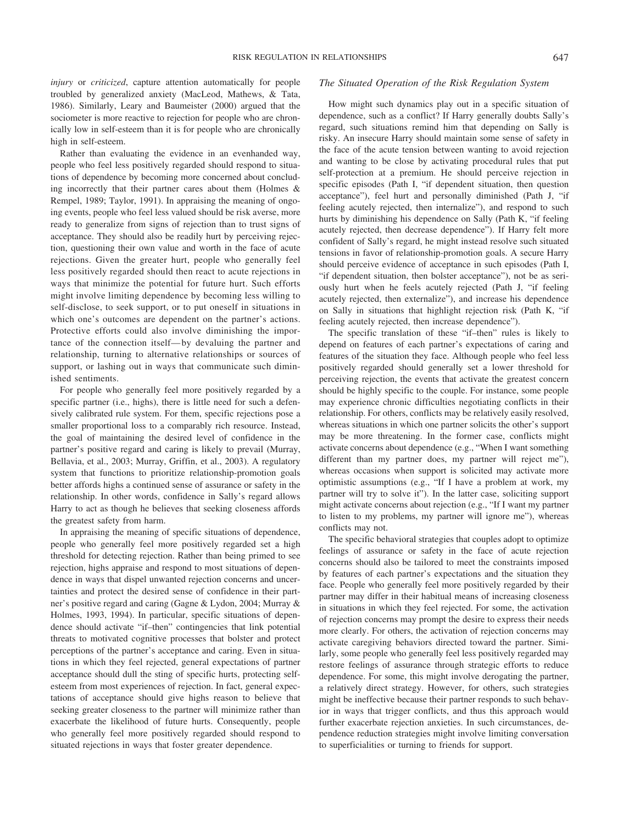*injury* or *criticized*, capture attention automatically for people troubled by generalized anxiety (MacLeod, Mathews, & Tata, 1986). Similarly, Leary and Baumeister (2000) argued that the sociometer is more reactive to rejection for people who are chronically low in self-esteem than it is for people who are chronically high in self-esteem.

Rather than evaluating the evidence in an evenhanded way, people who feel less positively regarded should respond to situations of dependence by becoming more concerned about concluding incorrectly that their partner cares about them (Holmes & Rempel, 1989; Taylor, 1991). In appraising the meaning of ongoing events, people who feel less valued should be risk averse, more ready to generalize from signs of rejection than to trust signs of acceptance. They should also be readily hurt by perceiving rejection, questioning their own value and worth in the face of acute rejections. Given the greater hurt, people who generally feel less positively regarded should then react to acute rejections in ways that minimize the potential for future hurt. Such efforts might involve limiting dependence by becoming less willing to self-disclose, to seek support, or to put oneself in situations in which one's outcomes are dependent on the partner's actions. Protective efforts could also involve diminishing the importance of the connection itself— by devaluing the partner and relationship, turning to alternative relationships or sources of support, or lashing out in ways that communicate such diminished sentiments.

For people who generally feel more positively regarded by a specific partner (i.e., highs), there is little need for such a defensively calibrated rule system. For them, specific rejections pose a smaller proportional loss to a comparably rich resource. Instead, the goal of maintaining the desired level of confidence in the partner's positive regard and caring is likely to prevail (Murray, Bellavia, et al., 2003; Murray, Griffin, et al., 2003). A regulatory system that functions to prioritize relationship-promotion goals better affords highs a continued sense of assurance or safety in the relationship. In other words, confidence in Sally's regard allows Harry to act as though he believes that seeking closeness affords the greatest safety from harm.

In appraising the meaning of specific situations of dependence, people who generally feel more positively regarded set a high threshold for detecting rejection. Rather than being primed to see rejection, highs appraise and respond to most situations of dependence in ways that dispel unwanted rejection concerns and uncertainties and protect the desired sense of confidence in their partner's positive regard and caring (Gagne & Lydon, 2004; Murray & Holmes, 1993, 1994). In particular, specific situations of dependence should activate "if–then" contingencies that link potential threats to motivated cognitive processes that bolster and protect perceptions of the partner's acceptance and caring. Even in situations in which they feel rejected, general expectations of partner acceptance should dull the sting of specific hurts, protecting selfesteem from most experiences of rejection. In fact, general expectations of acceptance should give highs reason to believe that seeking greater closeness to the partner will minimize rather than exacerbate the likelihood of future hurts. Consequently, people who generally feel more positively regarded should respond to situated rejections in ways that foster greater dependence.

### *The Situated Operation of the Risk Regulation System*

How might such dynamics play out in a specific situation of dependence, such as a conflict? If Harry generally doubts Sally's regard, such situations remind him that depending on Sally is risky. An insecure Harry should maintain some sense of safety in the face of the acute tension between wanting to avoid rejection and wanting to be close by activating procedural rules that put self-protection at a premium. He should perceive rejection in specific episodes (Path I, "if dependent situation, then question acceptance"), feel hurt and personally diminished (Path J, "if feeling acutely rejected, then internalize"), and respond to such hurts by diminishing his dependence on Sally (Path K, "if feeling acutely rejected, then decrease dependence"). If Harry felt more confident of Sally's regard, he might instead resolve such situated tensions in favor of relationship-promotion goals. A secure Harry should perceive evidence of acceptance in such episodes (Path I, "if dependent situation, then bolster acceptance"), not be as seriously hurt when he feels acutely rejected (Path J, "if feeling acutely rejected, then externalize"), and increase his dependence on Sally in situations that highlight rejection risk (Path K, "if feeling acutely rejected, then increase dependence").

The specific translation of these "if–then" rules is likely to depend on features of each partner's expectations of caring and features of the situation they face. Although people who feel less positively regarded should generally set a lower threshold for perceiving rejection, the events that activate the greatest concern should be highly specific to the couple. For instance, some people may experience chronic difficulties negotiating conflicts in their relationship. For others, conflicts may be relatively easily resolved, whereas situations in which one partner solicits the other's support may be more threatening. In the former case, conflicts might activate concerns about dependence (e.g., "When I want something different than my partner does, my partner will reject me"), whereas occasions when support is solicited may activate more optimistic assumptions (e.g., "If I have a problem at work, my partner will try to solve it"). In the latter case, soliciting support might activate concerns about rejection (e.g., "If I want my partner to listen to my problems, my partner will ignore me"), whereas conflicts may not.

The specific behavioral strategies that couples adopt to optimize feelings of assurance or safety in the face of acute rejection concerns should also be tailored to meet the constraints imposed by features of each partner's expectations and the situation they face. People who generally feel more positively regarded by their partner may differ in their habitual means of increasing closeness in situations in which they feel rejected. For some, the activation of rejection concerns may prompt the desire to express their needs more clearly. For others, the activation of rejection concerns may activate caregiving behaviors directed toward the partner. Similarly, some people who generally feel less positively regarded may restore feelings of assurance through strategic efforts to reduce dependence. For some, this might involve derogating the partner, a relatively direct strategy. However, for others, such strategies might be ineffective because their partner responds to such behavior in ways that trigger conflicts, and thus this approach would further exacerbate rejection anxieties. In such circumstances, dependence reduction strategies might involve limiting conversation to superficialities or turning to friends for support.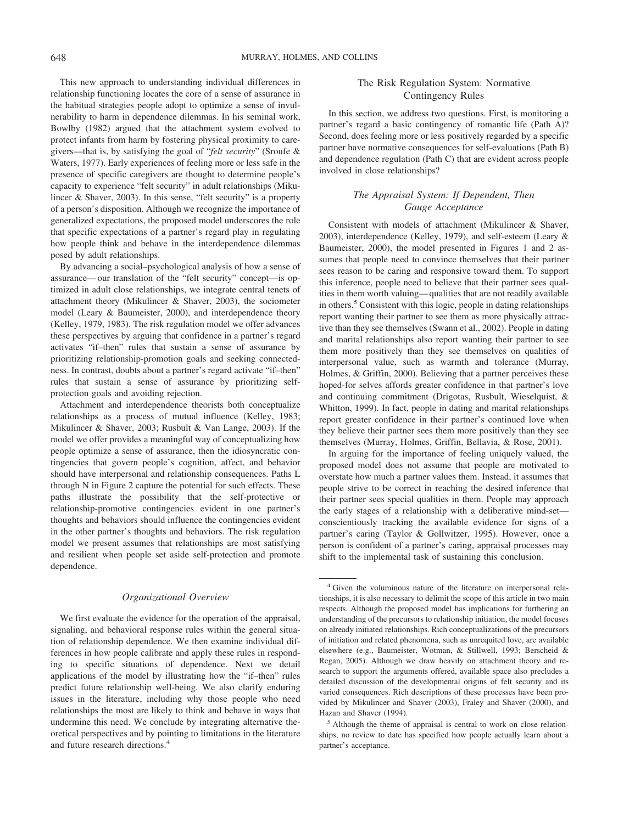This new approach to understanding individual differences in relationship functioning locates the core of a sense of assurance in the habitual strategies people adopt to optimize a sense of invulnerability to harm in dependence dilemmas. In his seminal work, Bowlby (1982) argued that the attachment system evolved to protect infants from harm by fostering physical proximity to caregivers—that is, by satisfying the goal of "*felt security*" (Sroufe & Waters, 1977). Early experiences of feeling more or less safe in the presence of specific caregivers are thought to determine people's capacity to experience "felt security" in adult relationships (Mikulincer & Shaver, 2003). In this sense, "felt security" is a property of a person's disposition. Although we recognize the importance of generalized expectations, the proposed model underscores the role that specific expectations of a partner's regard play in regulating how people think and behave in the interdependence dilemmas posed by adult relationships.

By advancing a social–psychological analysis of how a sense of assurance— our translation of the "felt security" concept—is optimized in adult close relationships, we integrate central tenets of attachment theory (Mikulincer & Shaver, 2003), the sociometer model (Leary & Baumeister, 2000), and interdependence theory (Kelley, 1979, 1983). The risk regulation model we offer advances these perspectives by arguing that confidence in a partner's regard activates "if–then" rules that sustain a sense of assurance by prioritizing relationship-promotion goals and seeking connectedness. In contrast, doubts about a partner's regard activate "if–then" rules that sustain a sense of assurance by prioritizing selfprotection goals and avoiding rejection.

Attachment and interdependence theorists both conceptualize relationships as a process of mutual influence (Kelley, 1983; Mikulincer & Shaver, 2003; Rusbult & Van Lange, 2003). If the model we offer provides a meaningful way of conceptualizing how people optimize a sense of assurance, then the idiosyncratic contingencies that govern people's cognition, affect, and behavior should have interpersonal and relationship consequences. Paths L through N in Figure 2 capture the potential for such effects. These paths illustrate the possibility that the self-protective or relationship-promotive contingencies evident in one partner's thoughts and behaviors should influence the contingencies evident in the other partner's thoughts and behaviors. The risk regulation model we present assumes that relationships are most satisfying and resilient when people set aside self-protection and promote dependence.

#### *Organizational Overview*

We first evaluate the evidence for the operation of the appraisal, signaling, and behavioral response rules within the general situation of relationship dependence. We then examine individual differences in how people calibrate and apply these rules in responding to specific situations of dependence. Next we detail applications of the model by illustrating how the "if–then" rules predict future relationship well-being. We also clarify enduring issues in the literature, including why those people who need relationships the most are likely to think and behave in ways that undermine this need. We conclude by integrating alternative theoretical perspectives and by pointing to limitations in the literature and future research directions.4

### The Risk Regulation System: Normative Contingency Rules

In this section, we address two questions. First, is monitoring a partner's regard a basic contingency of romantic life (Path A)? Second, does feeling more or less positively regarded by a specific partner have normative consequences for self-evaluations (Path B) and dependence regulation (Path C) that are evident across people involved in close relationships?

# *The Appraisal System: If Dependent, Then Gauge Acceptance*

Consistent with models of attachment (Mikulincer & Shaver, 2003), interdependence (Kelley, 1979), and self-esteem (Leary & Baumeister, 2000), the model presented in Figures 1 and 2 assumes that people need to convince themselves that their partner sees reason to be caring and responsive toward them. To support this inference, people need to believe that their partner sees qualities in them worth valuing— qualities that are not readily available in others.<sup>5</sup> Consistent with this logic, people in dating relationships report wanting their partner to see them as more physically attractive than they see themselves (Swann et al., 2002). People in dating and marital relationships also report wanting their partner to see them more positively than they see themselves on qualities of interpersonal value, such as warmth and tolerance (Murray, Holmes, & Griffin, 2000). Believing that a partner perceives these hoped-for selves affords greater confidence in that partner's love and continuing commitment (Drigotas, Rusbult, Wieselquist, & Whitton, 1999). In fact, people in dating and marital relationships report greater confidence in their partner's continued love when they believe their partner sees them more positively than they see themselves (Murray, Holmes, Griffin, Bellavia, & Rose, 2001).

In arguing for the importance of feeling uniquely valued, the proposed model does not assume that people are motivated to overstate how much a partner values them. Instead, it assumes that people strive to be correct in reaching the desired inference that their partner sees special qualities in them. People may approach the early stages of a relationship with a deliberative mind-set conscientiously tracking the available evidence for signs of a partner's caring (Taylor & Gollwitzer, 1995). However, once a person is confident of a partner's caring, appraisal processes may shift to the implemental task of sustaining this conclusion.

<sup>4</sup> Given the voluminous nature of the literature on interpersonal relationships, it is also necessary to delimit the scope of this article in two main respects. Although the proposed model has implications for furthering an understanding of the precursors to relationship initiation, the model focuses on already initiated relationships. Rich conceptualizations of the precursors of initiation and related phenomena, such as unrequited love, are available elsewhere (e.g., Baumeister, Wotman, & Stillwell, 1993; Berscheid & Regan, 2005). Although we draw heavily on attachment theory and research to support the arguments offered, available space also precludes a detailed discussion of the developmental origins of felt security and its varied consequences. Rich descriptions of these processes have been provided by Mikulincer and Shaver (2003), Fraley and Shaver (2000), and Hazan and Shaver (1994).

<sup>&</sup>lt;sup>5</sup> Although the theme of appraisal is central to work on close relationships, no review to date has specified how people actually learn about a partner's acceptance.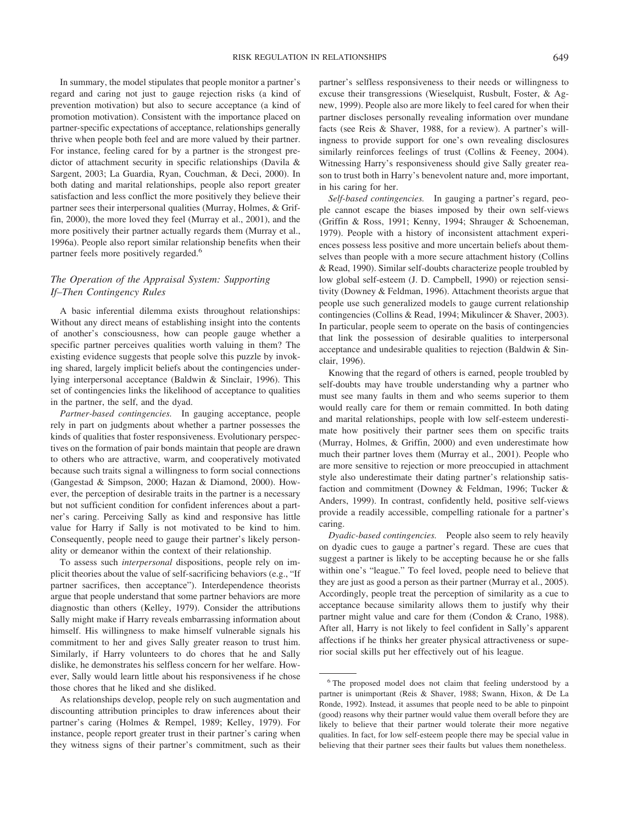In summary, the model stipulates that people monitor a partner's regard and caring not just to gauge rejection risks (a kind of prevention motivation) but also to secure acceptance (a kind of promotion motivation). Consistent with the importance placed on partner-specific expectations of acceptance, relationships generally thrive when people both feel and are more valued by their partner. For instance, feeling cared for by a partner is the strongest predictor of attachment security in specific relationships (Davila & Sargent, 2003; La Guardia, Ryan, Couchman, & Deci, 2000). In both dating and marital relationships, people also report greater satisfaction and less conflict the more positively they believe their partner sees their interpersonal qualities (Murray, Holmes, & Griffin, 2000), the more loved they feel (Murray et al., 2001), and the more positively their partner actually regards them (Murray et al., 1996a). People also report similar relationship benefits when their partner feels more positively regarded.<sup>6</sup>

# *The Operation of the Appraisal System: Supporting If–Then Contingency Rules*

A basic inferential dilemma exists throughout relationships: Without any direct means of establishing insight into the contents of another's consciousness, how can people gauge whether a specific partner perceives qualities worth valuing in them? The existing evidence suggests that people solve this puzzle by invoking shared, largely implicit beliefs about the contingencies underlying interpersonal acceptance (Baldwin & Sinclair, 1996). This set of contingencies links the likelihood of acceptance to qualities in the partner, the self, and the dyad.

*Partner-based contingencies.* In gauging acceptance, people rely in part on judgments about whether a partner possesses the kinds of qualities that foster responsiveness. Evolutionary perspectives on the formation of pair bonds maintain that people are drawn to others who are attractive, warm, and cooperatively motivated because such traits signal a willingness to form social connections (Gangestad & Simpson, 2000; Hazan & Diamond, 2000). However, the perception of desirable traits in the partner is a necessary but not sufficient condition for confident inferences about a partner's caring. Perceiving Sally as kind and responsive has little value for Harry if Sally is not motivated to be kind to him. Consequently, people need to gauge their partner's likely personality or demeanor within the context of their relationship.

To assess such *interpersonal* dispositions, people rely on implicit theories about the value of self-sacrificing behaviors (e.g., "If partner sacrifices, then acceptance"). Interdependence theorists argue that people understand that some partner behaviors are more diagnostic than others (Kelley, 1979). Consider the attributions Sally might make if Harry reveals embarrassing information about himself. His willingness to make himself vulnerable signals his commitment to her and gives Sally greater reason to trust him. Similarly, if Harry volunteers to do chores that he and Sally dislike, he demonstrates his selfless concern for her welfare. However, Sally would learn little about his responsiveness if he chose those chores that he liked and she disliked.

As relationships develop, people rely on such augmentation and discounting attribution principles to draw inferences about their partner's caring (Holmes & Rempel, 1989; Kelley, 1979). For instance, people report greater trust in their partner's caring when they witness signs of their partner's commitment, such as their partner's selfless responsiveness to their needs or willingness to excuse their transgressions (Wieselquist, Rusbult, Foster, & Agnew, 1999). People also are more likely to feel cared for when their partner discloses personally revealing information over mundane facts (see Reis & Shaver, 1988, for a review). A partner's willingness to provide support for one's own revealing disclosures similarly reinforces feelings of trust (Collins & Feeney, 2004). Witnessing Harry's responsiveness should give Sally greater reason to trust both in Harry's benevolent nature and, more important, in his caring for her.

*Self-based contingencies.* In gauging a partner's regard, people cannot escape the biases imposed by their own self-views (Griffin & Ross, 1991; Kenny, 1994; Shrauger & Schoeneman, 1979). People with a history of inconsistent attachment experiences possess less positive and more uncertain beliefs about themselves than people with a more secure attachment history (Collins & Read, 1990). Similar self-doubts characterize people troubled by low global self-esteem (J. D. Campbell, 1990) or rejection sensitivity (Downey & Feldman, 1996). Attachment theorists argue that people use such generalized models to gauge current relationship contingencies (Collins & Read, 1994; Mikulincer & Shaver, 2003). In particular, people seem to operate on the basis of contingencies that link the possession of desirable qualities to interpersonal acceptance and undesirable qualities to rejection (Baldwin & Sinclair, 1996).

Knowing that the regard of others is earned, people troubled by self-doubts may have trouble understanding why a partner who must see many faults in them and who seems superior to them would really care for them or remain committed. In both dating and marital relationships, people with low self-esteem underestimate how positively their partner sees them on specific traits (Murray, Holmes, & Griffin, 2000) and even underestimate how much their partner loves them (Murray et al., 2001). People who are more sensitive to rejection or more preoccupied in attachment style also underestimate their dating partner's relationship satisfaction and commitment (Downey & Feldman, 1996; Tucker & Anders, 1999). In contrast, confidently held, positive self-views provide a readily accessible, compelling rationale for a partner's caring.

*Dyadic-based contingencies.* People also seem to rely heavily on dyadic cues to gauge a partner's regard. These are cues that suggest a partner is likely to be accepting because he or she falls within one's "league." To feel loved, people need to believe that they are just as good a person as their partner (Murray et al., 2005). Accordingly, people treat the perception of similarity as a cue to acceptance because similarity allows them to justify why their partner might value and care for them (Condon & Crano, 1988). After all, Harry is not likely to feel confident in Sally's apparent affections if he thinks her greater physical attractiveness or superior social skills put her effectively out of his league.

<sup>&</sup>lt;sup>6</sup> The proposed model does not claim that feeling understood by a partner is unimportant (Reis & Shaver, 1988; Swann, Hixon, & De La Ronde, 1992). Instead, it assumes that people need to be able to pinpoint (good) reasons why their partner would value them overall before they are likely to believe that their partner would tolerate their more negative qualities. In fact, for low self-esteem people there may be special value in believing that their partner sees their faults but values them nonetheless.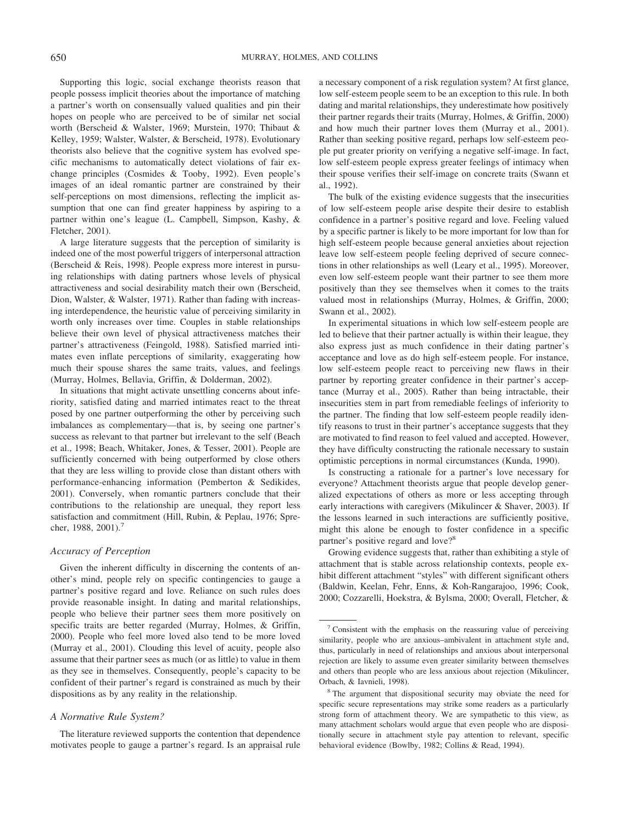Supporting this logic, social exchange theorists reason that people possess implicit theories about the importance of matching a partner's worth on consensually valued qualities and pin their hopes on people who are perceived to be of similar net social worth (Berscheid & Walster, 1969; Murstein, 1970; Thibaut & Kelley, 1959; Walster, Walster, & Berscheid, 1978). Evolutionary theorists also believe that the cognitive system has evolved specific mechanisms to automatically detect violations of fair exchange principles (Cosmides & Tooby, 1992). Even people's images of an ideal romantic partner are constrained by their self-perceptions on most dimensions, reflecting the implicit assumption that one can find greater happiness by aspiring to a partner within one's league (L. Campbell, Simpson, Kashy, & Fletcher, 2001).

A large literature suggests that the perception of similarity is indeed one of the most powerful triggers of interpersonal attraction (Berscheid & Reis, 1998). People express more interest in pursuing relationships with dating partners whose levels of physical attractiveness and social desirability match their own (Berscheid, Dion, Walster, & Walster, 1971). Rather than fading with increasing interdependence, the heuristic value of perceiving similarity in worth only increases over time. Couples in stable relationships believe their own level of physical attractiveness matches their partner's attractiveness (Feingold, 1988). Satisfied married intimates even inflate perceptions of similarity, exaggerating how much their spouse shares the same traits, values, and feelings (Murray, Holmes, Bellavia, Griffin, & Dolderman, 2002).

In situations that might activate unsettling concerns about inferiority, satisfied dating and married intimates react to the threat posed by one partner outperforming the other by perceiving such imbalances as complementary—that is, by seeing one partner's success as relevant to that partner but irrelevant to the self (Beach et al., 1998; Beach, Whitaker, Jones, & Tesser, 2001). People are sufficiently concerned with being outperformed by close others that they are less willing to provide close than distant others with performance-enhancing information (Pemberton & Sedikides, 2001). Conversely, when romantic partners conclude that their contributions to the relationship are unequal, they report less satisfaction and commitment (Hill, Rubin, & Peplau, 1976; Sprecher, 1988, 2001).<sup>7</sup>

#### *Accuracy of Perception*

Given the inherent difficulty in discerning the contents of another's mind, people rely on specific contingencies to gauge a partner's positive regard and love. Reliance on such rules does provide reasonable insight. In dating and marital relationships, people who believe their partner sees them more positively on specific traits are better regarded (Murray, Holmes, & Griffin, 2000). People who feel more loved also tend to be more loved (Murray et al., 2001). Clouding this level of acuity, people also assume that their partner sees as much (or as little) to value in them as they see in themselves. Consequently, people's capacity to be confident of their partner's regard is constrained as much by their dispositions as by any reality in the relationship.

### *A Normative Rule System?*

The literature reviewed supports the contention that dependence motivates people to gauge a partner's regard. Is an appraisal rule a necessary component of a risk regulation system? At first glance, low self-esteem people seem to be an exception to this rule. In both dating and marital relationships, they underestimate how positively their partner regards their traits (Murray, Holmes, & Griffin, 2000) and how much their partner loves them (Murray et al., 2001). Rather than seeking positive regard, perhaps low self-esteem people put greater priority on verifying a negative self-image. In fact, low self-esteem people express greater feelings of intimacy when their spouse verifies their self-image on concrete traits (Swann et al., 1992).

The bulk of the existing evidence suggests that the insecurities of low self-esteem people arise despite their desire to establish confidence in a partner's positive regard and love. Feeling valued by a specific partner is likely to be more important for low than for high self-esteem people because general anxieties about rejection leave low self-esteem people feeling deprived of secure connections in other relationships as well (Leary et al., 1995). Moreover, even low self-esteem people want their partner to see them more positively than they see themselves when it comes to the traits valued most in relationships (Murray, Holmes, & Griffin, 2000; Swann et al., 2002).

In experimental situations in which low self-esteem people are led to believe that their partner actually is within their league, they also express just as much confidence in their dating partner's acceptance and love as do high self-esteem people. For instance, low self-esteem people react to perceiving new flaws in their partner by reporting greater confidence in their partner's acceptance (Murray et al., 2005). Rather than being intractable, their insecurities stem in part from remediable feelings of inferiority to the partner. The finding that low self-esteem people readily identify reasons to trust in their partner's acceptance suggests that they are motivated to find reason to feel valued and accepted. However, they have difficulty constructing the rationale necessary to sustain optimistic perceptions in normal circumstances (Kunda, 1990).

Is constructing a rationale for a partner's love necessary for everyone? Attachment theorists argue that people develop generalized expectations of others as more or less accepting through early interactions with caregivers (Mikulincer & Shaver, 2003). If the lessons learned in such interactions are sufficiently positive, might this alone be enough to foster confidence in a specific partner's positive regard and love?<sup>8</sup>

Growing evidence suggests that, rather than exhibiting a style of attachment that is stable across relationship contexts, people exhibit different attachment "styles" with different significant others (Baldwin, Keelan, Fehr, Enns, & Koh-Rangarajoo, 1996; Cook, 2000; Cozzarelli, Hoekstra, & Bylsma, 2000; Overall, Fletcher, &

<sup>7</sup> Consistent with the emphasis on the reassuring value of perceiving similarity, people who are anxious–ambivalent in attachment style and, thus, particularly in need of relationships and anxious about interpersonal rejection are likely to assume even greater similarity between themselves and others than people who are less anxious about rejection (Mikulincer, Orbach, & Iavnieli, 1998).

<sup>&</sup>lt;sup>8</sup> The argument that dispositional security may obviate the need for specific secure representations may strike some readers as a particularly strong form of attachment theory. We are sympathetic to this view, as many attachment scholars would argue that even people who are dispositionally secure in attachment style pay attention to relevant, specific behavioral evidence (Bowlby, 1982; Collins & Read, 1994).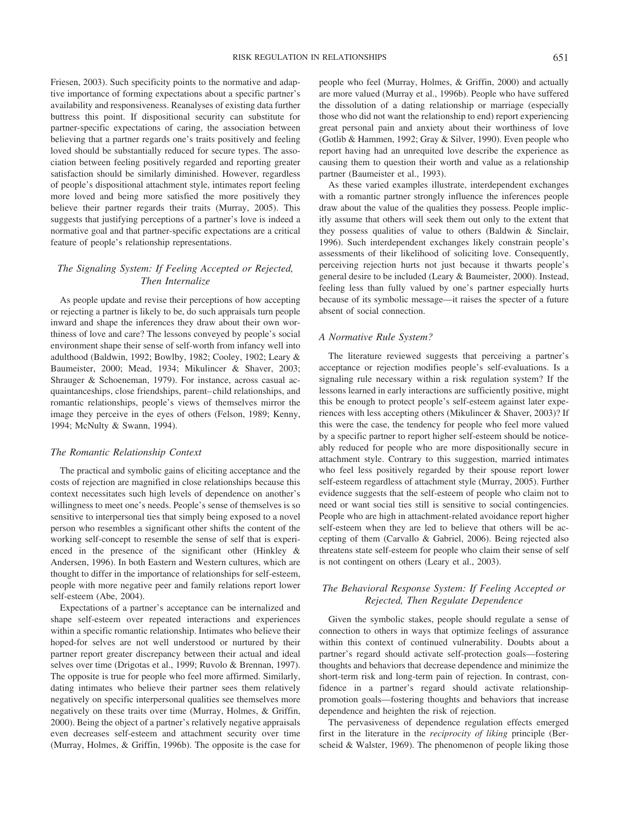Friesen, 2003). Such specificity points to the normative and adaptive importance of forming expectations about a specific partner's availability and responsiveness. Reanalyses of existing data further buttress this point. If dispositional security can substitute for partner-specific expectations of caring, the association between believing that a partner regards one's traits positively and feeling loved should be substantially reduced for secure types. The association between feeling positively regarded and reporting greater satisfaction should be similarly diminished. However, regardless of people's dispositional attachment style, intimates report feeling more loved and being more satisfied the more positively they believe their partner regards their traits (Murray, 2005). This suggests that justifying perceptions of a partner's love is indeed a normative goal and that partner-specific expectations are a critical feature of people's relationship representations.

# *The Signaling System: If Feeling Accepted or Rejected, Then Internalize*

As people update and revise their perceptions of how accepting or rejecting a partner is likely to be, do such appraisals turn people inward and shape the inferences they draw about their own worthiness of love and care? The lessons conveyed by people's social environment shape their sense of self-worth from infancy well into adulthood (Baldwin, 1992; Bowlby, 1982; Cooley, 1902; Leary & Baumeister, 2000; Mead, 1934; Mikulincer & Shaver, 2003; Shrauger & Schoeneman, 1979). For instance, across casual acquaintanceships, close friendships, parent– child relationships, and romantic relationships, people's views of themselves mirror the image they perceive in the eyes of others (Felson, 1989; Kenny, 1994; McNulty & Swann, 1994).

### *The Romantic Relationship Context*

The practical and symbolic gains of eliciting acceptance and the costs of rejection are magnified in close relationships because this context necessitates such high levels of dependence on another's willingness to meet one's needs. People's sense of themselves is so sensitive to interpersonal ties that simply being exposed to a novel person who resembles a significant other shifts the content of the working self-concept to resemble the sense of self that is experienced in the presence of the significant other (Hinkley & Andersen, 1996). In both Eastern and Western cultures, which are thought to differ in the importance of relationships for self-esteem, people with more negative peer and family relations report lower self-esteem (Abe, 2004).

Expectations of a partner's acceptance can be internalized and shape self-esteem over repeated interactions and experiences within a specific romantic relationship. Intimates who believe their hoped-for selves are not well understood or nurtured by their partner report greater discrepancy between their actual and ideal selves over time (Drigotas et al., 1999; Ruvolo & Brennan, 1997). The opposite is true for people who feel more affirmed. Similarly, dating intimates who believe their partner sees them relatively negatively on specific interpersonal qualities see themselves more negatively on these traits over time (Murray, Holmes, & Griffin, 2000). Being the object of a partner's relatively negative appraisals even decreases self-esteem and attachment security over time (Murray, Holmes, & Griffin, 1996b). The opposite is the case for

people who feel (Murray, Holmes, & Griffin, 2000) and actually are more valued (Murray et al., 1996b). People who have suffered the dissolution of a dating relationship or marriage (especially those who did not want the relationship to end) report experiencing great personal pain and anxiety about their worthiness of love (Gotlib & Hammen, 1992; Gray & Silver, 1990). Even people who report having had an unrequited love describe the experience as causing them to question their worth and value as a relationship partner (Baumeister et al., 1993).

As these varied examples illustrate, interdependent exchanges with a romantic partner strongly influence the inferences people draw about the value of the qualities they possess. People implicitly assume that others will seek them out only to the extent that they possess qualities of value to others (Baldwin & Sinclair, 1996). Such interdependent exchanges likely constrain people's assessments of their likelihood of soliciting love. Consequently, perceiving rejection hurts not just because it thwarts people's general desire to be included (Leary & Baumeister, 2000). Instead, feeling less than fully valued by one's partner especially hurts because of its symbolic message—it raises the specter of a future absent of social connection.

### *A Normative Rule System?*

The literature reviewed suggests that perceiving a partner's acceptance or rejection modifies people's self-evaluations. Is a signaling rule necessary within a risk regulation system? If the lessons learned in early interactions are sufficiently positive, might this be enough to protect people's self-esteem against later experiences with less accepting others (Mikulincer & Shaver, 2003)? If this were the case, the tendency for people who feel more valued by a specific partner to report higher self-esteem should be noticeably reduced for people who are more dispositionally secure in attachment style. Contrary to this suggestion, married intimates who feel less positively regarded by their spouse report lower self-esteem regardless of attachment style (Murray, 2005). Further evidence suggests that the self-esteem of people who claim not to need or want social ties still is sensitive to social contingencies. People who are high in attachment-related avoidance report higher self-esteem when they are led to believe that others will be accepting of them (Carvallo & Gabriel, 2006). Being rejected also threatens state self-esteem for people who claim their sense of self is not contingent on others (Leary et al., 2003).

# *The Behavioral Response System: If Feeling Accepted or Rejected, Then Regulate Dependence*

Given the symbolic stakes, people should regulate a sense of connection to others in ways that optimize feelings of assurance within this context of continued vulnerability. Doubts about a partner's regard should activate self-protection goals—fostering thoughts and behaviors that decrease dependence and minimize the short-term risk and long-term pain of rejection. In contrast, confidence in a partner's regard should activate relationshippromotion goals—fostering thoughts and behaviors that increase dependence and heighten the risk of rejection.

The pervasiveness of dependence regulation effects emerged first in the literature in the *reciprocity of liking* principle (Berscheid & Walster, 1969). The phenomenon of people liking those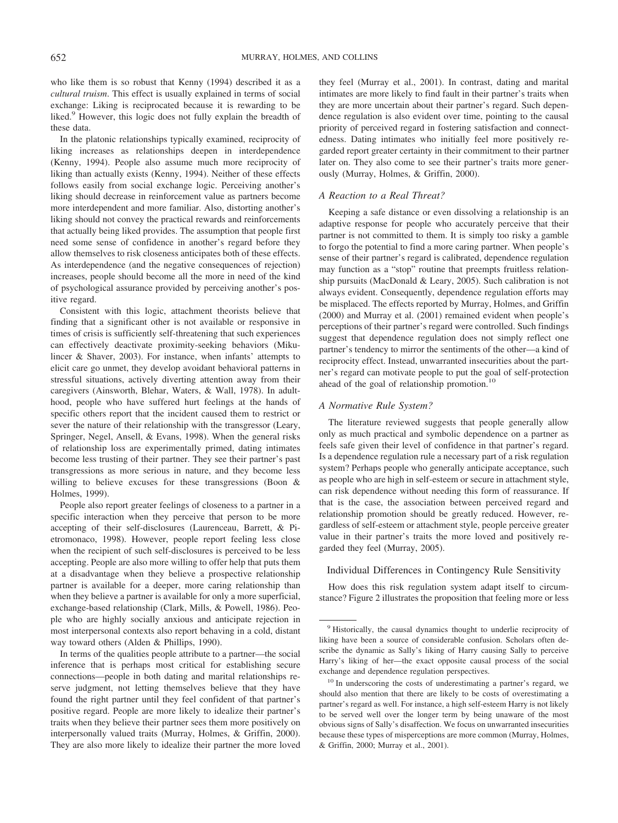who like them is so robust that Kenny (1994) described it as a *cultural truism*. This effect is usually explained in terms of social exchange: Liking is reciprocated because it is rewarding to be liked.<sup>9</sup> However, this logic does not fully explain the breadth of these data.

In the platonic relationships typically examined, reciprocity of liking increases as relationships deepen in interdependence (Kenny, 1994). People also assume much more reciprocity of liking than actually exists (Kenny, 1994). Neither of these effects follows easily from social exchange logic. Perceiving another's liking should decrease in reinforcement value as partners become more interdependent and more familiar. Also, distorting another's liking should not convey the practical rewards and reinforcements that actually being liked provides. The assumption that people first need some sense of confidence in another's regard before they allow themselves to risk closeness anticipates both of these effects. As interdependence (and the negative consequences of rejection) increases, people should become all the more in need of the kind of psychological assurance provided by perceiving another's positive regard.

Consistent with this logic, attachment theorists believe that finding that a significant other is not available or responsive in times of crisis is sufficiently self-threatening that such experiences can effectively deactivate proximity-seeking behaviors (Mikulincer & Shaver, 2003). For instance, when infants' attempts to elicit care go unmet, they develop avoidant behavioral patterns in stressful situations, actively diverting attention away from their caregivers (Ainsworth, Blehar, Waters, & Wall, 1978). In adulthood, people who have suffered hurt feelings at the hands of specific others report that the incident caused them to restrict or sever the nature of their relationship with the transgressor (Leary, Springer, Negel, Ansell, & Evans, 1998). When the general risks of relationship loss are experimentally primed, dating intimates become less trusting of their partner. They see their partner's past transgressions as more serious in nature, and they become less willing to believe excuses for these transgressions (Boon & Holmes, 1999).

People also report greater feelings of closeness to a partner in a specific interaction when they perceive that person to be more accepting of their self-disclosures (Laurenceau, Barrett, & Pietromonaco, 1998). However, people report feeling less close when the recipient of such self-disclosures is perceived to be less accepting. People are also more willing to offer help that puts them at a disadvantage when they believe a prospective relationship partner is available for a deeper, more caring relationship than when they believe a partner is available for only a more superficial, exchange-based relationship (Clark, Mills, & Powell, 1986). People who are highly socially anxious and anticipate rejection in most interpersonal contexts also report behaving in a cold, distant way toward others (Alden & Phillips, 1990).

In terms of the qualities people attribute to a partner—the social inference that is perhaps most critical for establishing secure connections—people in both dating and marital relationships reserve judgment, not letting themselves believe that they have found the right partner until they feel confident of that partner's positive regard. People are more likely to idealize their partner's traits when they believe their partner sees them more positively on interpersonally valued traits (Murray, Holmes, & Griffin, 2000). They are also more likely to idealize their partner the more loved

they feel (Murray et al., 2001). In contrast, dating and marital intimates are more likely to find fault in their partner's traits when they are more uncertain about their partner's regard. Such dependence regulation is also evident over time, pointing to the causal priority of perceived regard in fostering satisfaction and connectedness. Dating intimates who initially feel more positively regarded report greater certainty in their commitment to their partner later on. They also come to see their partner's traits more generously (Murray, Holmes, & Griffin, 2000).

### *A Reaction to a Real Threat?*

Keeping a safe distance or even dissolving a relationship is an adaptive response for people who accurately perceive that their partner is not committed to them. It is simply too risky a gamble to forgo the potential to find a more caring partner. When people's sense of their partner's regard is calibrated, dependence regulation may function as a "stop" routine that preempts fruitless relationship pursuits (MacDonald & Leary, 2005). Such calibration is not always evident. Consequently, dependence regulation efforts may be misplaced. The effects reported by Murray, Holmes, and Griffin (2000) and Murray et al. (2001) remained evident when people's perceptions of their partner's regard were controlled. Such findings suggest that dependence regulation does not simply reflect one partner's tendency to mirror the sentiments of the other—a kind of reciprocity effect. Instead, unwarranted insecurities about the partner's regard can motivate people to put the goal of self-protection ahead of the goal of relationship promotion.<sup>10</sup>

#### *A Normative Rule System?*

The literature reviewed suggests that people generally allow only as much practical and symbolic dependence on a partner as feels safe given their level of confidence in that partner's regard. Is a dependence regulation rule a necessary part of a risk regulation system? Perhaps people who generally anticipate acceptance, such as people who are high in self-esteem or secure in attachment style, can risk dependence without needing this form of reassurance. If that is the case, the association between perceived regard and relationship promotion should be greatly reduced. However, regardless of self-esteem or attachment style, people perceive greater value in their partner's traits the more loved and positively regarded they feel (Murray, 2005).

#### Individual Differences in Contingency Rule Sensitivity

How does this risk regulation system adapt itself to circumstance? Figure 2 illustrates the proposition that feeling more or less

<sup>&</sup>lt;sup>9</sup> Historically, the causal dynamics thought to underlie reciprocity of liking have been a source of considerable confusion. Scholars often describe the dynamic as Sally's liking of Harry causing Sally to perceive Harry's liking of her—the exact opposite causal process of the social exchange and dependence regulation perspectives.

<sup>&</sup>lt;sup>10</sup> In underscoring the costs of underestimating a partner's regard, we should also mention that there are likely to be costs of overestimating a partner's regard as well. For instance, a high self-esteem Harry is not likely to be served well over the longer term by being unaware of the most obvious signs of Sally's disaffection. We focus on unwarranted insecurities because these types of misperceptions are more common (Murray, Holmes, & Griffin, 2000; Murray et al., 2001).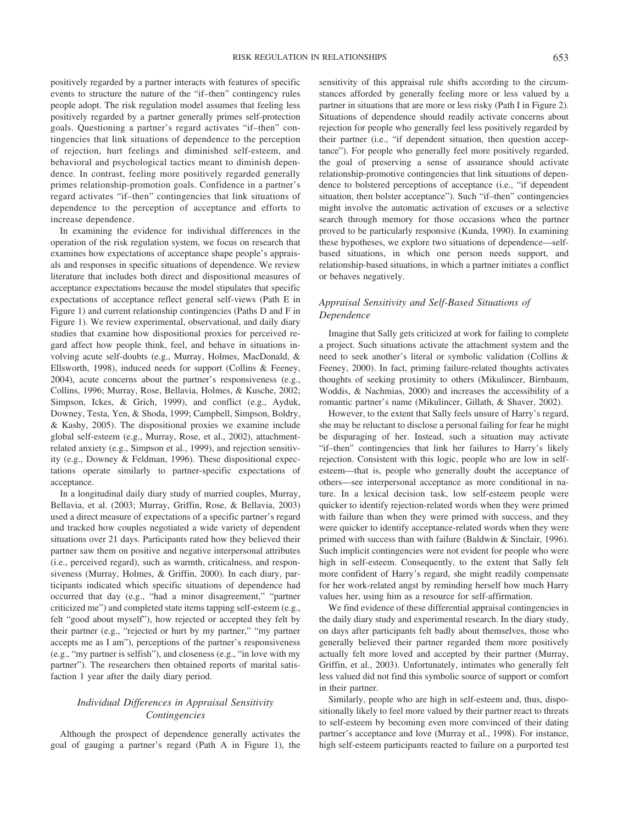positively regarded by a partner interacts with features of specific events to structure the nature of the "if–then" contingency rules people adopt. The risk regulation model assumes that feeling less positively regarded by a partner generally primes self-protection goals. Questioning a partner's regard activates "if–then" contingencies that link situations of dependence to the perception of rejection, hurt feelings and diminished self-esteem, and behavioral and psychological tactics meant to diminish dependence. In contrast, feeling more positively regarded generally primes relationship-promotion goals. Confidence in a partner's regard activates "if–then" contingencies that link situations of dependence to the perception of acceptance and efforts to increase dependence.

In examining the evidence for individual differences in the operation of the risk regulation system, we focus on research that examines how expectations of acceptance shape people's appraisals and responses in specific situations of dependence. We review literature that includes both direct and dispositional measures of acceptance expectations because the model stipulates that specific expectations of acceptance reflect general self-views (Path E in Figure 1) and current relationship contingencies (Paths D and F in Figure 1). We review experimental, observational, and daily diary studies that examine how dispositional proxies for perceived regard affect how people think, feel, and behave in situations involving acute self-doubts (e.g., Murray, Holmes, MacDonald, & Ellsworth, 1998), induced needs for support (Collins & Feeney, 2004), acute concerns about the partner's responsiveness (e.g., Collins, 1996; Murray, Rose, Bellavia, Holmes, & Kusche, 2002; Simpson, Ickes, & Grich, 1999), and conflict (e.g., Ayduk, Downey, Testa, Yen, & Shoda, 1999; Campbell, Simpson, Boldry, & Kashy, 2005). The dispositional proxies we examine include global self-esteem (e.g., Murray, Rose, et al., 2002), attachmentrelated anxiety (e.g., Simpson et al., 1999), and rejection sensitivity (e.g., Downey & Feldman, 1996). These dispositional expectations operate similarly to partner-specific expectations of acceptance.

In a longitudinal daily diary study of married couples, Murray, Bellavia, et al. (2003; Murray, Griffin, Rose, & Bellavia, 2003) used a direct measure of expectations of a specific partner's regard and tracked how couples negotiated a wide variety of dependent situations over 21 days. Participants rated how they believed their partner saw them on positive and negative interpersonal attributes (i.e., perceived regard), such as warmth, criticalness, and responsiveness (Murray, Holmes, & Griffin, 2000). In each diary, participants indicated which specific situations of dependence had occurred that day (e.g., "had a minor disagreement," "partner criticized me") and completed state items tapping self-esteem (e.g., felt "good about myself"), how rejected or accepted they felt by their partner (e.g., "rejected or hurt by my partner," "my partner accepts me as I am"), perceptions of the partner's responsiveness (e.g., "my partner is selfish"), and closeness (e.g., "in love with my partner"). The researchers then obtained reports of marital satisfaction 1 year after the daily diary period.

# *Individual Differences in Appraisal Sensitivity Contingencies*

Although the prospect of dependence generally activates the goal of gauging a partner's regard (Path A in Figure 1), the sensitivity of this appraisal rule shifts according to the circumstances afforded by generally feeling more or less valued by a partner in situations that are more or less risky (Path I in Figure 2). Situations of dependence should readily activate concerns about rejection for people who generally feel less positively regarded by their partner (i.e., "if dependent situation, then question acceptance"). For people who generally feel more positively regarded, the goal of preserving a sense of assurance should activate relationship-promotive contingencies that link situations of dependence to bolstered perceptions of acceptance (i.e., "if dependent situation, then bolster acceptance"). Such "if–then" contingencies might involve the automatic activation of excuses or a selective search through memory for those occasions when the partner proved to be particularly responsive (Kunda, 1990). In examining these hypotheses, we explore two situations of dependence—selfbased situations, in which one person needs support, and relationship-based situations, in which a partner initiates a conflict or behaves negatively.

# *Appraisal Sensitivity and Self-Based Situations of Dependence*

Imagine that Sally gets criticized at work for failing to complete a project. Such situations activate the attachment system and the need to seek another's literal or symbolic validation (Collins & Feeney, 2000). In fact, priming failure-related thoughts activates thoughts of seeking proximity to others (Mikulincer, Birnbaum, Woddis, & Nachmias, 2000) and increases the accessibility of a romantic partner's name (Mikulincer, Gillath, & Shaver, 2002).

However, to the extent that Sally feels unsure of Harry's regard, she may be reluctant to disclose a personal failing for fear he might be disparaging of her. Instead, such a situation may activate "if–then" contingencies that link her failures to Harry's likely rejection. Consistent with this logic, people who are low in selfesteem—that is, people who generally doubt the acceptance of others—see interpersonal acceptance as more conditional in nature. In a lexical decision task, low self-esteem people were quicker to identify rejection-related words when they were primed with failure than when they were primed with success, and they were quicker to identify acceptance-related words when they were primed with success than with failure (Baldwin & Sinclair, 1996). Such implicit contingencies were not evident for people who were high in self-esteem. Consequently, to the extent that Sally felt more confident of Harry's regard, she might readily compensate for her work-related angst by reminding herself how much Harry values her, using him as a resource for self-affirmation.

We find evidence of these differential appraisal contingencies in the daily diary study and experimental research. In the diary study, on days after participants felt badly about themselves, those who generally believed their partner regarded them more positively actually felt more loved and accepted by their partner (Murray, Griffin, et al., 2003). Unfortunately, intimates who generally felt less valued did not find this symbolic source of support or comfort in their partner.

Similarly, people who are high in self-esteem and, thus, dispositionally likely to feel more valued by their partner react to threats to self-esteem by becoming even more convinced of their dating partner's acceptance and love (Murray et al., 1998). For instance, high self-esteem participants reacted to failure on a purported test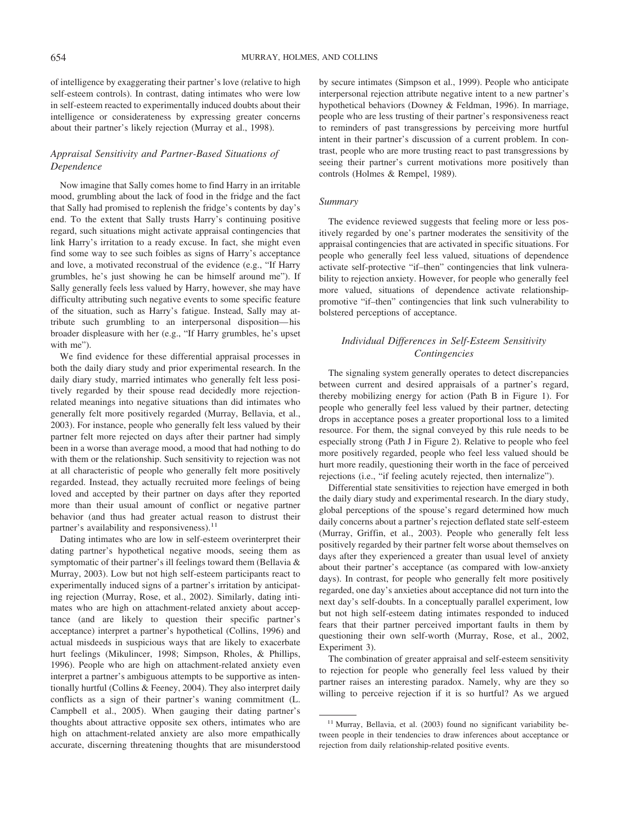of intelligence by exaggerating their partner's love (relative to high self-esteem controls). In contrast, dating intimates who were low in self-esteem reacted to experimentally induced doubts about their intelligence or considerateness by expressing greater concerns about their partner's likely rejection (Murray et al., 1998).

# *Appraisal Sensitivity and Partner-Based Situations of Dependence*

Now imagine that Sally comes home to find Harry in an irritable mood, grumbling about the lack of food in the fridge and the fact that Sally had promised to replenish the fridge's contents by day's end. To the extent that Sally trusts Harry's continuing positive regard, such situations might activate appraisal contingencies that link Harry's irritation to a ready excuse. In fact, she might even find some way to see such foibles as signs of Harry's acceptance and love, a motivated reconstrual of the evidence (e.g., "If Harry grumbles, he's just showing he can be himself around me"). If Sally generally feels less valued by Harry, however, she may have difficulty attributing such negative events to some specific feature of the situation, such as Harry's fatigue. Instead, Sally may attribute such grumbling to an interpersonal disposition— his broader displeasure with her (e.g., "If Harry grumbles, he's upset with me").

We find evidence for these differential appraisal processes in both the daily diary study and prior experimental research. In the daily diary study, married intimates who generally felt less positively regarded by their spouse read decidedly more rejectionrelated meanings into negative situations than did intimates who generally felt more positively regarded (Murray, Bellavia, et al., 2003). For instance, people who generally felt less valued by their partner felt more rejected on days after their partner had simply been in a worse than average mood, a mood that had nothing to do with them or the relationship. Such sensitivity to rejection was not at all characteristic of people who generally felt more positively regarded. Instead, they actually recruited more feelings of being loved and accepted by their partner on days after they reported more than their usual amount of conflict or negative partner behavior (and thus had greater actual reason to distrust their partner's availability and responsiveness).<sup>11</sup>

Dating intimates who are low in self-esteem overinterpret their dating partner's hypothetical negative moods, seeing them as symptomatic of their partner's ill feelings toward them (Bellavia & Murray, 2003). Low but not high self-esteem participants react to experimentally induced signs of a partner's irritation by anticipating rejection (Murray, Rose, et al., 2002). Similarly, dating intimates who are high on attachment-related anxiety about acceptance (and are likely to question their specific partner's acceptance) interpret a partner's hypothetical (Collins, 1996) and actual misdeeds in suspicious ways that are likely to exacerbate hurt feelings (Mikulincer, 1998; Simpson, Rholes, & Phillips, 1996). People who are high on attachment-related anxiety even interpret a partner's ambiguous attempts to be supportive as intentionally hurtful (Collins & Feeney, 2004). They also interpret daily conflicts as a sign of their partner's waning commitment (L. Campbell et al., 2005). When gauging their dating partner's thoughts about attractive opposite sex others, intimates who are high on attachment-related anxiety are also more empathically accurate, discerning threatening thoughts that are misunderstood

by secure intimates (Simpson et al., 1999). People who anticipate interpersonal rejection attribute negative intent to a new partner's hypothetical behaviors (Downey & Feldman, 1996). In marriage, people who are less trusting of their partner's responsiveness react to reminders of past transgressions by perceiving more hurtful intent in their partner's discussion of a current problem. In contrast, people who are more trusting react to past transgressions by seeing their partner's current motivations more positively than controls (Holmes & Rempel, 1989).

### *Summary*

The evidence reviewed suggests that feeling more or less positively regarded by one's partner moderates the sensitivity of the appraisal contingencies that are activated in specific situations. For people who generally feel less valued, situations of dependence activate self-protective "if–then" contingencies that link vulnerability to rejection anxiety. However, for people who generally feel more valued, situations of dependence activate relationshippromotive "if–then" contingencies that link such vulnerability to bolstered perceptions of acceptance.

# *Individual Differences in Self-Esteem Sensitivity Contingencies*

The signaling system generally operates to detect discrepancies between current and desired appraisals of a partner's regard, thereby mobilizing energy for action (Path B in Figure 1). For people who generally feel less valued by their partner, detecting drops in acceptance poses a greater proportional loss to a limited resource. For them, the signal conveyed by this rule needs to be especially strong (Path J in Figure 2). Relative to people who feel more positively regarded, people who feel less valued should be hurt more readily, questioning their worth in the face of perceived rejections (i.e., "if feeling acutely rejected, then internalize").

Differential state sensitivities to rejection have emerged in both the daily diary study and experimental research. In the diary study, global perceptions of the spouse's regard determined how much daily concerns about a partner's rejection deflated state self-esteem (Murray, Griffin, et al., 2003). People who generally felt less positively regarded by their partner felt worse about themselves on days after they experienced a greater than usual level of anxiety about their partner's acceptance (as compared with low-anxiety days). In contrast, for people who generally felt more positively regarded, one day's anxieties about acceptance did not turn into the next day's self-doubts. In a conceptually parallel experiment, low but not high self-esteem dating intimates responded to induced fears that their partner perceived important faults in them by questioning their own self-worth (Murray, Rose, et al., 2002, Experiment 3).

The combination of greater appraisal and self-esteem sensitivity to rejection for people who generally feel less valued by their partner raises an interesting paradox. Namely, why are they so willing to perceive rejection if it is so hurtful? As we argued

<sup>&</sup>lt;sup>11</sup> Murray, Bellavia, et al. (2003) found no significant variability between people in their tendencies to draw inferences about acceptance or rejection from daily relationship-related positive events.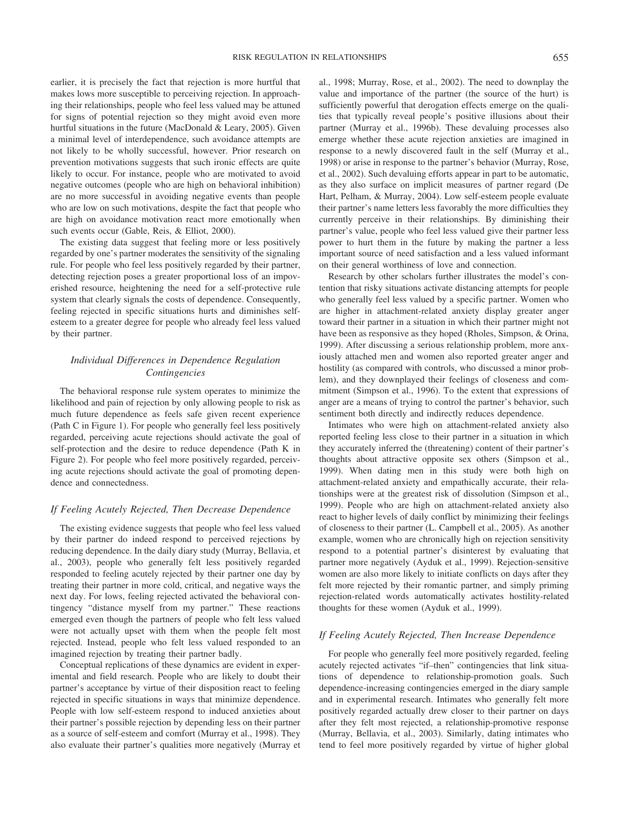earlier, it is precisely the fact that rejection is more hurtful that makes lows more susceptible to perceiving rejection. In approaching their relationships, people who feel less valued may be attuned for signs of potential rejection so they might avoid even more hurtful situations in the future (MacDonald & Leary, 2005). Given a minimal level of interdependence, such avoidance attempts are not likely to be wholly successful, however. Prior research on prevention motivations suggests that such ironic effects are quite likely to occur. For instance, people who are motivated to avoid negative outcomes (people who are high on behavioral inhibition) are no more successful in avoiding negative events than people who are low on such motivations, despite the fact that people who are high on avoidance motivation react more emotionally when such events occur (Gable, Reis, & Elliot, 2000).

The existing data suggest that feeling more or less positively regarded by one's partner moderates the sensitivity of the signaling rule. For people who feel less positively regarded by their partner, detecting rejection poses a greater proportional loss of an impoverished resource, heightening the need for a self-protective rule system that clearly signals the costs of dependence. Consequently, feeling rejected in specific situations hurts and diminishes selfesteem to a greater degree for people who already feel less valued by their partner.

# *Individual Differences in Dependence Regulation Contingencies*

The behavioral response rule system operates to minimize the likelihood and pain of rejection by only allowing people to risk as much future dependence as feels safe given recent experience (Path C in Figure 1). For people who generally feel less positively regarded, perceiving acute rejections should activate the goal of self-protection and the desire to reduce dependence (Path K in Figure 2). For people who feel more positively regarded, perceiving acute rejections should activate the goal of promoting dependence and connectedness.

### *If Feeling Acutely Rejected, Then Decrease Dependence*

The existing evidence suggests that people who feel less valued by their partner do indeed respond to perceived rejections by reducing dependence. In the daily diary study (Murray, Bellavia, et al., 2003), people who generally felt less positively regarded responded to feeling acutely rejected by their partner one day by treating their partner in more cold, critical, and negative ways the next day. For lows, feeling rejected activated the behavioral contingency "distance myself from my partner." These reactions emerged even though the partners of people who felt less valued were not actually upset with them when the people felt most rejected. Instead, people who felt less valued responded to an imagined rejection by treating their partner badly.

Conceptual replications of these dynamics are evident in experimental and field research. People who are likely to doubt their partner's acceptance by virtue of their disposition react to feeling rejected in specific situations in ways that minimize dependence. People with low self-esteem respond to induced anxieties about their partner's possible rejection by depending less on their partner as a source of self-esteem and comfort (Murray et al., 1998). They also evaluate their partner's qualities more negatively (Murray et al., 1998; Murray, Rose, et al., 2002). The need to downplay the value and importance of the partner (the source of the hurt) is sufficiently powerful that derogation effects emerge on the qualities that typically reveal people's positive illusions about their partner (Murray et al., 1996b). These devaluing processes also emerge whether these acute rejection anxieties are imagined in response to a newly discovered fault in the self (Murray et al., 1998) or arise in response to the partner's behavior (Murray, Rose, et al., 2002). Such devaluing efforts appear in part to be automatic, as they also surface on implicit measures of partner regard (De Hart, Pelham, & Murray, 2004). Low self-esteem people evaluate their partner's name letters less favorably the more difficulties they currently perceive in their relationships. By diminishing their partner's value, people who feel less valued give their partner less power to hurt them in the future by making the partner a less important source of need satisfaction and a less valued informant on their general worthiness of love and connection.

Research by other scholars further illustrates the model's contention that risky situations activate distancing attempts for people who generally feel less valued by a specific partner. Women who are higher in attachment-related anxiety display greater anger toward their partner in a situation in which their partner might not have been as responsive as they hoped (Rholes, Simpson, & Orina, 1999). After discussing a serious relationship problem, more anxiously attached men and women also reported greater anger and hostility (as compared with controls, who discussed a minor problem), and they downplayed their feelings of closeness and commitment (Simpson et al., 1996). To the extent that expressions of anger are a means of trying to control the partner's behavior, such sentiment both directly and indirectly reduces dependence.

Intimates who were high on attachment-related anxiety also reported feeling less close to their partner in a situation in which they accurately inferred the (threatening) content of their partner's thoughts about attractive opposite sex others (Simpson et al., 1999). When dating men in this study were both high on attachment-related anxiety and empathically accurate, their relationships were at the greatest risk of dissolution (Simpson et al., 1999). People who are high on attachment-related anxiety also react to higher levels of daily conflict by minimizing their feelings of closeness to their partner (L. Campbell et al., 2005). As another example, women who are chronically high on rejection sensitivity respond to a potential partner's disinterest by evaluating that partner more negatively (Ayduk et al., 1999). Rejection-sensitive women are also more likely to initiate conflicts on days after they felt more rejected by their romantic partner, and simply priming rejection-related words automatically activates hostility-related thoughts for these women (Ayduk et al., 1999).

### *If Feeling Acutely Rejected, Then Increase Dependence*

For people who generally feel more positively regarded, feeling acutely rejected activates "if–then" contingencies that link situations of dependence to relationship-promotion goals. Such dependence-increasing contingencies emerged in the diary sample and in experimental research. Intimates who generally felt more positively regarded actually drew closer to their partner on days after they felt most rejected, a relationship-promotive response (Murray, Bellavia, et al., 2003). Similarly, dating intimates who tend to feel more positively regarded by virtue of higher global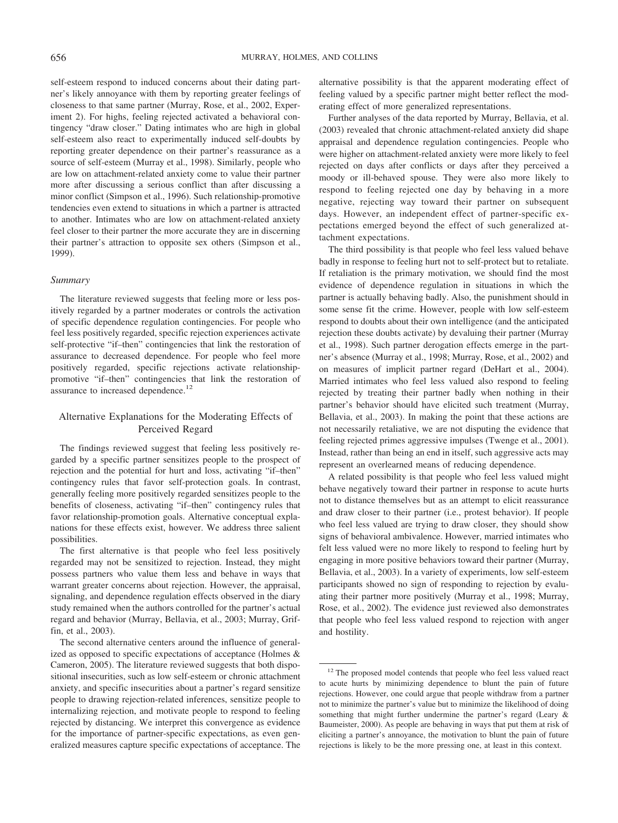self-esteem respond to induced concerns about their dating partner's likely annoyance with them by reporting greater feelings of closeness to that same partner (Murray, Rose, et al., 2002, Experiment 2). For highs, feeling rejected activated a behavioral contingency "draw closer." Dating intimates who are high in global self-esteem also react to experimentally induced self-doubts by reporting greater dependence on their partner's reassurance as a source of self-esteem (Murray et al., 1998). Similarly, people who are low on attachment-related anxiety come to value their partner more after discussing a serious conflict than after discussing a minor conflict (Simpson et al., 1996). Such relationship-promotive tendencies even extend to situations in which a partner is attracted to another. Intimates who are low on attachment-related anxiety feel closer to their partner the more accurate they are in discerning their partner's attraction to opposite sex others (Simpson et al., 1999).

### *Summary*

The literature reviewed suggests that feeling more or less positively regarded by a partner moderates or controls the activation of specific dependence regulation contingencies. For people who feel less positively regarded, specific rejection experiences activate self-protective "if–then" contingencies that link the restoration of assurance to decreased dependence. For people who feel more positively regarded, specific rejections activate relationshippromotive "if–then" contingencies that link the restoration of assurance to increased dependence.<sup>12</sup>

# Alternative Explanations for the Moderating Effects of Perceived Regard

The findings reviewed suggest that feeling less positively regarded by a specific partner sensitizes people to the prospect of rejection and the potential for hurt and loss, activating "if–then" contingency rules that favor self-protection goals. In contrast, generally feeling more positively regarded sensitizes people to the benefits of closeness, activating "if–then" contingency rules that favor relationship-promotion goals. Alternative conceptual explanations for these effects exist, however. We address three salient possibilities.

The first alternative is that people who feel less positively regarded may not be sensitized to rejection. Instead, they might possess partners who value them less and behave in ways that warrant greater concerns about rejection. However, the appraisal, signaling, and dependence regulation effects observed in the diary study remained when the authors controlled for the partner's actual regard and behavior (Murray, Bellavia, et al., 2003; Murray, Griffin, et al., 2003).

The second alternative centers around the influence of generalized as opposed to specific expectations of acceptance (Holmes & Cameron, 2005). The literature reviewed suggests that both dispositional insecurities, such as low self-esteem or chronic attachment anxiety, and specific insecurities about a partner's regard sensitize people to drawing rejection-related inferences, sensitize people to internalizing rejection, and motivate people to respond to feeling rejected by distancing. We interpret this convergence as evidence for the importance of partner-specific expectations, as even generalized measures capture specific expectations of acceptance. The

alternative possibility is that the apparent moderating effect of feeling valued by a specific partner might better reflect the moderating effect of more generalized representations.

Further analyses of the data reported by Murray, Bellavia, et al. (2003) revealed that chronic attachment-related anxiety did shape appraisal and dependence regulation contingencies. People who were higher on attachment-related anxiety were more likely to feel rejected on days after conflicts or days after they perceived a moody or ill-behaved spouse. They were also more likely to respond to feeling rejected one day by behaving in a more negative, rejecting way toward their partner on subsequent days. However, an independent effect of partner-specific expectations emerged beyond the effect of such generalized attachment expectations.

The third possibility is that people who feel less valued behave badly in response to feeling hurt not to self-protect but to retaliate. If retaliation is the primary motivation, we should find the most evidence of dependence regulation in situations in which the partner is actually behaving badly. Also, the punishment should in some sense fit the crime. However, people with low self-esteem respond to doubts about their own intelligence (and the anticipated rejection these doubts activate) by devaluing their partner (Murray et al., 1998). Such partner derogation effects emerge in the partner's absence (Murray et al., 1998; Murray, Rose, et al., 2002) and on measures of implicit partner regard (DeHart et al., 2004). Married intimates who feel less valued also respond to feeling rejected by treating their partner badly when nothing in their partner's behavior should have elicited such treatment (Murray, Bellavia, et al., 2003). In making the point that these actions are not necessarily retaliative, we are not disputing the evidence that feeling rejected primes aggressive impulses (Twenge et al., 2001). Instead, rather than being an end in itself, such aggressive acts may represent an overlearned means of reducing dependence.

A related possibility is that people who feel less valued might behave negatively toward their partner in response to acute hurts not to distance themselves but as an attempt to elicit reassurance and draw closer to their partner (i.e., protest behavior). If people who feel less valued are trying to draw closer, they should show signs of behavioral ambivalence. However, married intimates who felt less valued were no more likely to respond to feeling hurt by engaging in more positive behaviors toward their partner (Murray, Bellavia, et al., 2003). In a variety of experiments, low self-esteem participants showed no sign of responding to rejection by evaluating their partner more positively (Murray et al., 1998; Murray, Rose, et al., 2002). The evidence just reviewed also demonstrates that people who feel less valued respond to rejection with anger and hostility.

<sup>&</sup>lt;sup>12</sup> The proposed model contends that people who feel less valued react to acute hurts by minimizing dependence to blunt the pain of future rejections. However, one could argue that people withdraw from a partner not to minimize the partner's value but to minimize the likelihood of doing something that might further undermine the partner's regard (Leary & Baumeister, 2000). As people are behaving in ways that put them at risk of eliciting a partner's annoyance, the motivation to blunt the pain of future rejections is likely to be the more pressing one, at least in this context.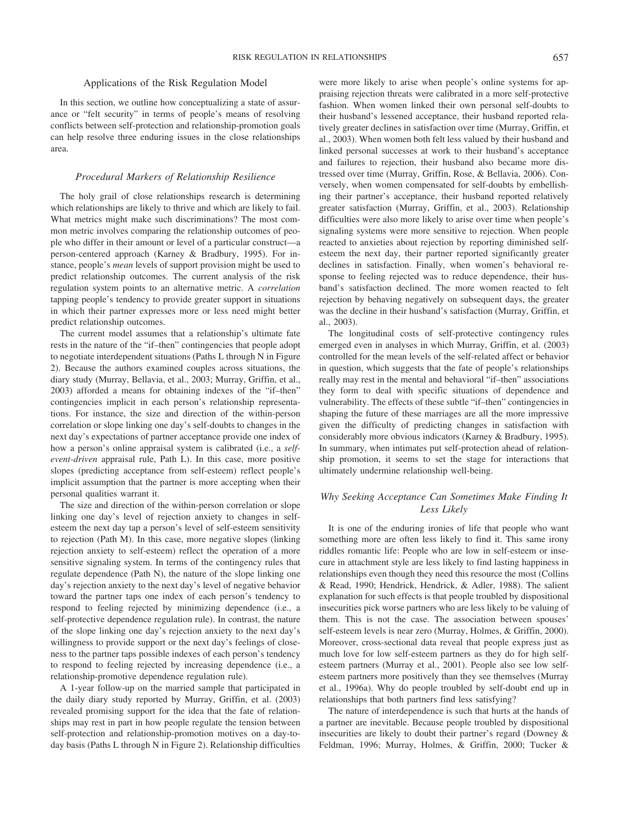### Applications of the Risk Regulation Model

In this section, we outline how conceptualizing a state of assurance or "felt security" in terms of people's means of resolving conflicts between self-protection and relationship-promotion goals can help resolve three enduring issues in the close relationships area.

### *Procedural Markers of Relationship Resilience*

The holy grail of close relationships research is determining which relationships are likely to thrive and which are likely to fail. What metrics might make such discriminations? The most common metric involves comparing the relationship outcomes of people who differ in their amount or level of a particular construct—a person-centered approach (Karney & Bradbury, 1995). For instance, people's *mean* levels of support provision might be used to predict relationship outcomes. The current analysis of the risk regulation system points to an alternative metric. A *correlation* tapping people's tendency to provide greater support in situations in which their partner expresses more or less need might better predict relationship outcomes.

The current model assumes that a relationship's ultimate fate rests in the nature of the "if–then" contingencies that people adopt to negotiate interdependent situations (Paths L through N in Figure 2). Because the authors examined couples across situations, the diary study (Murray, Bellavia, et al., 2003; Murray, Griffin, et al., 2003) afforded a means for obtaining indexes of the "if–then" contingencies implicit in each person's relationship representations. For instance, the size and direction of the within-person correlation or slope linking one day's self-doubts to changes in the next day's expectations of partner acceptance provide one index of how a person's online appraisal system is calibrated (i.e., a *selfevent-driven* appraisal rule, Path L). In this case, more positive slopes (predicting acceptance from self-esteem) reflect people's implicit assumption that the partner is more accepting when their personal qualities warrant it.

The size and direction of the within-person correlation or slope linking one day's level of rejection anxiety to changes in selfesteem the next day tap a person's level of self-esteem sensitivity to rejection (Path M). In this case, more negative slopes (linking rejection anxiety to self-esteem) reflect the operation of a more sensitive signaling system. In terms of the contingency rules that regulate dependence (Path N), the nature of the slope linking one day's rejection anxiety to the next day's level of negative behavior toward the partner taps one index of each person's tendency to respond to feeling rejected by minimizing dependence (i.e., a self-protective dependence regulation rule). In contrast, the nature of the slope linking one day's rejection anxiety to the next day's willingness to provide support or the next day's feelings of closeness to the partner taps possible indexes of each person's tendency to respond to feeling rejected by increasing dependence (i.e., a relationship-promotive dependence regulation rule).

A 1-year follow-up on the married sample that participated in the daily diary study reported by Murray, Griffin, et al. (2003) revealed promising support for the idea that the fate of relationships may rest in part in how people regulate the tension between self-protection and relationship-promotion motives on a day-today basis (Paths L through N in Figure 2). Relationship difficulties were more likely to arise when people's online systems for appraising rejection threats were calibrated in a more self-protective fashion. When women linked their own personal self-doubts to their husband's lessened acceptance, their husband reported relatively greater declines in satisfaction over time (Murray, Griffin, et al., 2003). When women both felt less valued by their husband and linked personal successes at work to their husband's acceptance and failures to rejection, their husband also became more distressed over time (Murray, Griffin, Rose, & Bellavia, 2006). Conversely, when women compensated for self-doubts by embellishing their partner's acceptance, their husband reported relatively greater satisfaction (Murray, Griffin, et al., 2003). Relationship difficulties were also more likely to arise over time when people's signaling systems were more sensitive to rejection. When people reacted to anxieties about rejection by reporting diminished selfesteem the next day, their partner reported significantly greater declines in satisfaction. Finally, when women's behavioral response to feeling rejected was to reduce dependence, their husband's satisfaction declined. The more women reacted to felt rejection by behaving negatively on subsequent days, the greater was the decline in their husband's satisfaction (Murray, Griffin, et al., 2003).

The longitudinal costs of self-protective contingency rules emerged even in analyses in which Murray, Griffin, et al. (2003) controlled for the mean levels of the self-related affect or behavior in question, which suggests that the fate of people's relationships really may rest in the mental and behavioral "if–then" associations they form to deal with specific situations of dependence and vulnerability. The effects of these subtle "if–then" contingencies in shaping the future of these marriages are all the more impressive given the difficulty of predicting changes in satisfaction with considerably more obvious indicators (Karney & Bradbury, 1995). In summary, when intimates put self-protection ahead of relationship promotion, it seems to set the stage for interactions that ultimately undermine relationship well-being.

### *Why Seeking Acceptance Can Sometimes Make Finding It Less Likely*

It is one of the enduring ironies of life that people who want something more are often less likely to find it. This same irony riddles romantic life: People who are low in self-esteem or insecure in attachment style are less likely to find lasting happiness in relationships even though they need this resource the most (Collins & Read, 1990; Hendrick, Hendrick, & Adler, 1988). The salient explanation for such effects is that people troubled by dispositional insecurities pick worse partners who are less likely to be valuing of them. This is not the case. The association between spouses' self-esteem levels is near zero (Murray, Holmes, & Griffin, 2000). Moreover, cross-sectional data reveal that people express just as much love for low self-esteem partners as they do for high selfesteem partners (Murray et al., 2001). People also see low selfesteem partners more positively than they see themselves (Murray et al., 1996a). Why do people troubled by self-doubt end up in relationships that both partners find less satisfying?

The nature of interdependence is such that hurts at the hands of a partner are inevitable. Because people troubled by dispositional insecurities are likely to doubt their partner's regard (Downey & Feldman, 1996; Murray, Holmes, & Griffin, 2000; Tucker &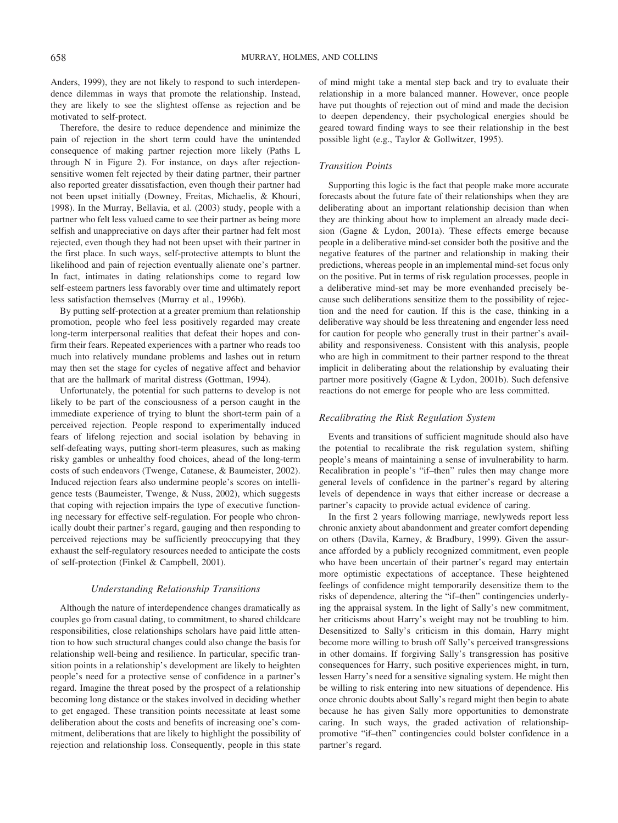Anders, 1999), they are not likely to respond to such interdependence dilemmas in ways that promote the relationship. Instead, they are likely to see the slightest offense as rejection and be motivated to self-protect.

Therefore, the desire to reduce dependence and minimize the pain of rejection in the short term could have the unintended consequence of making partner rejection more likely (Paths L through N in Figure 2). For instance, on days after rejectionsensitive women felt rejected by their dating partner, their partner also reported greater dissatisfaction, even though their partner had not been upset initially (Downey, Freitas, Michaelis, & Khouri, 1998). In the Murray, Bellavia, et al. (2003) study, people with a partner who felt less valued came to see their partner as being more selfish and unappreciative on days after their partner had felt most rejected, even though they had not been upset with their partner in the first place. In such ways, self-protective attempts to blunt the likelihood and pain of rejection eventually alienate one's partner. In fact, intimates in dating relationships come to regard low self-esteem partners less favorably over time and ultimately report less satisfaction themselves (Murray et al., 1996b).

By putting self-protection at a greater premium than relationship promotion, people who feel less positively regarded may create long-term interpersonal realities that defeat their hopes and confirm their fears. Repeated experiences with a partner who reads too much into relatively mundane problems and lashes out in return may then set the stage for cycles of negative affect and behavior that are the hallmark of marital distress (Gottman, 1994).

Unfortunately, the potential for such patterns to develop is not likely to be part of the consciousness of a person caught in the immediate experience of trying to blunt the short-term pain of a perceived rejection. People respond to experimentally induced fears of lifelong rejection and social isolation by behaving in self-defeating ways, putting short-term pleasures, such as making risky gambles or unhealthy food choices, ahead of the long-term costs of such endeavors (Twenge, Catanese, & Baumeister, 2002). Induced rejection fears also undermine people's scores on intelligence tests (Baumeister, Twenge, & Nuss, 2002), which suggests that coping with rejection impairs the type of executive functioning necessary for effective self-regulation. For people who chronically doubt their partner's regard, gauging and then responding to perceived rejections may be sufficiently preoccupying that they exhaust the self-regulatory resources needed to anticipate the costs of self-protection (Finkel & Campbell, 2001).

#### *Understanding Relationship Transitions*

Although the nature of interdependence changes dramatically as couples go from casual dating, to commitment, to shared childcare responsibilities, close relationships scholars have paid little attention to how such structural changes could also change the basis for relationship well-being and resilience. In particular, specific transition points in a relationship's development are likely to heighten people's need for a protective sense of confidence in a partner's regard. Imagine the threat posed by the prospect of a relationship becoming long distance or the stakes involved in deciding whether to get engaged. These transition points necessitate at least some deliberation about the costs and benefits of increasing one's commitment, deliberations that are likely to highlight the possibility of rejection and relationship loss. Consequently, people in this state of mind might take a mental step back and try to evaluate their relationship in a more balanced manner. However, once people have put thoughts of rejection out of mind and made the decision to deepen dependency, their psychological energies should be geared toward finding ways to see their relationship in the best possible light (e.g., Taylor & Gollwitzer, 1995).

### *Transition Points*

Supporting this logic is the fact that people make more accurate forecasts about the future fate of their relationships when they are deliberating about an important relationship decision than when they are thinking about how to implement an already made decision (Gagne & Lydon, 2001a). These effects emerge because people in a deliberative mind-set consider both the positive and the negative features of the partner and relationship in making their predictions, whereas people in an implemental mind-set focus only on the positive. Put in terms of risk regulation processes, people in a deliberative mind-set may be more evenhanded precisely because such deliberations sensitize them to the possibility of rejection and the need for caution. If this is the case, thinking in a deliberative way should be less threatening and engender less need for caution for people who generally trust in their partner's availability and responsiveness. Consistent with this analysis, people who are high in commitment to their partner respond to the threat implicit in deliberating about the relationship by evaluating their partner more positively (Gagne & Lydon, 2001b). Such defensive reactions do not emerge for people who are less committed.

### *Recalibrating the Risk Regulation System*

Events and transitions of sufficient magnitude should also have the potential to recalibrate the risk regulation system, shifting people's means of maintaining a sense of invulnerability to harm. Recalibration in people's "if–then" rules then may change more general levels of confidence in the partner's regard by altering levels of dependence in ways that either increase or decrease a partner's capacity to provide actual evidence of caring.

In the first 2 years following marriage, newlyweds report less chronic anxiety about abandonment and greater comfort depending on others (Davila, Karney, & Bradbury, 1999). Given the assurance afforded by a publicly recognized commitment, even people who have been uncertain of their partner's regard may entertain more optimistic expectations of acceptance. These heightened feelings of confidence might temporarily desensitize them to the risks of dependence, altering the "if–then" contingencies underlying the appraisal system. In the light of Sally's new commitment, her criticisms about Harry's weight may not be troubling to him. Desensitized to Sally's criticism in this domain, Harry might become more willing to brush off Sally's perceived transgressions in other domains. If forgiving Sally's transgression has positive consequences for Harry, such positive experiences might, in turn, lessen Harry's need for a sensitive signaling system. He might then be willing to risk entering into new situations of dependence. His once chronic doubts about Sally's regard might then begin to abate because he has given Sally more opportunities to demonstrate caring. In such ways, the graded activation of relationshippromotive "if–then" contingencies could bolster confidence in a partner's regard.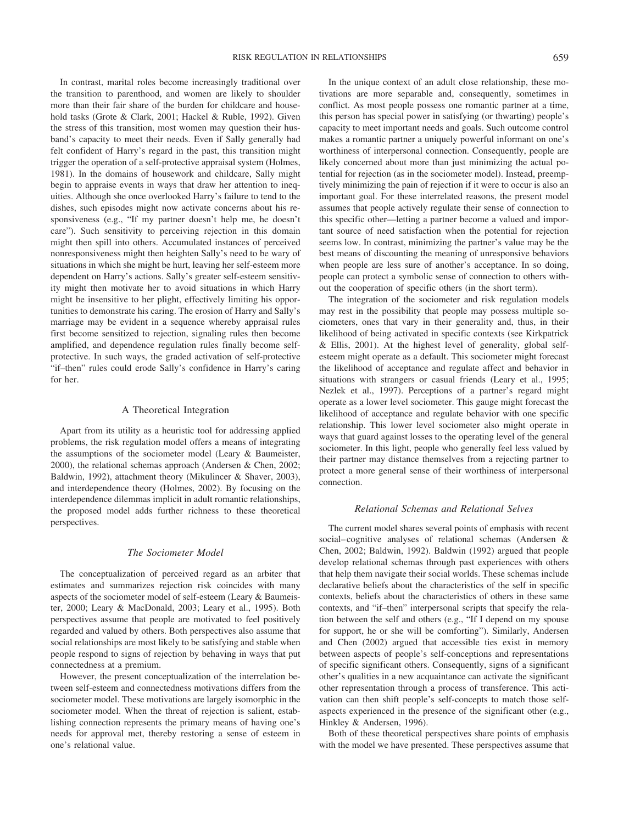In contrast, marital roles become increasingly traditional over the transition to parenthood, and women are likely to shoulder more than their fair share of the burden for childcare and household tasks (Grote & Clark, 2001; Hackel & Ruble, 1992). Given the stress of this transition, most women may question their husband's capacity to meet their needs. Even if Sally generally had felt confident of Harry's regard in the past, this transition might trigger the operation of a self-protective appraisal system (Holmes, 1981). In the domains of housework and childcare, Sally might begin to appraise events in ways that draw her attention to inequities. Although she once overlooked Harry's failure to tend to the dishes, such episodes might now activate concerns about his responsiveness (e.g., "If my partner doesn't help me, he doesn't care"). Such sensitivity to perceiving rejection in this domain might then spill into others. Accumulated instances of perceived nonresponsiveness might then heighten Sally's need to be wary of situations in which she might be hurt, leaving her self-esteem more dependent on Harry's actions. Sally's greater self-esteem sensitivity might then motivate her to avoid situations in which Harry might be insensitive to her plight, effectively limiting his opportunities to demonstrate his caring. The erosion of Harry and Sally's marriage may be evident in a sequence whereby appraisal rules first become sensitized to rejection, signaling rules then become amplified, and dependence regulation rules finally become selfprotective. In such ways, the graded activation of self-protective "if–then" rules could erode Sally's confidence in Harry's caring for her.

#### A Theoretical Integration

Apart from its utility as a heuristic tool for addressing applied problems, the risk regulation model offers a means of integrating the assumptions of the sociometer model (Leary & Baumeister, 2000), the relational schemas approach (Andersen & Chen, 2002; Baldwin, 1992), attachment theory (Mikulincer & Shaver, 2003), and interdependence theory (Holmes, 2002). By focusing on the interdependence dilemmas implicit in adult romantic relationships, the proposed model adds further richness to these theoretical perspectives.

### *The Sociometer Model*

The conceptualization of perceived regard as an arbiter that estimates and summarizes rejection risk coincides with many aspects of the sociometer model of self-esteem (Leary & Baumeister, 2000; Leary & MacDonald, 2003; Leary et al., 1995). Both perspectives assume that people are motivated to feel positively regarded and valued by others. Both perspectives also assume that social relationships are most likely to be satisfying and stable when people respond to signs of rejection by behaving in ways that put connectedness at a premium.

However, the present conceptualization of the interrelation between self-esteem and connectedness motivations differs from the sociometer model. These motivations are largely isomorphic in the sociometer model. When the threat of rejection is salient, establishing connection represents the primary means of having one's needs for approval met, thereby restoring a sense of esteem in one's relational value.

In the unique context of an adult close relationship, these motivations are more separable and, consequently, sometimes in conflict. As most people possess one romantic partner at a time, this person has special power in satisfying (or thwarting) people's capacity to meet important needs and goals. Such outcome control makes a romantic partner a uniquely powerful informant on one's worthiness of interpersonal connection. Consequently, people are likely concerned about more than just minimizing the actual potential for rejection (as in the sociometer model). Instead, preemptively minimizing the pain of rejection if it were to occur is also an important goal. For these interrelated reasons, the present model assumes that people actively regulate their sense of connection to this specific other—letting a partner become a valued and important source of need satisfaction when the potential for rejection seems low. In contrast, minimizing the partner's value may be the best means of discounting the meaning of unresponsive behaviors when people are less sure of another's acceptance. In so doing, people can protect a symbolic sense of connection to others without the cooperation of specific others (in the short term).

The integration of the sociometer and risk regulation models may rest in the possibility that people may possess multiple sociometers, ones that vary in their generality and, thus, in their likelihood of being activated in specific contexts (see Kirkpatrick & Ellis, 2001). At the highest level of generality, global selfesteem might operate as a default. This sociometer might forecast the likelihood of acceptance and regulate affect and behavior in situations with strangers or casual friends (Leary et al., 1995; Nezlek et al., 1997). Perceptions of a partner's regard might operate as a lower level sociometer. This gauge might forecast the likelihood of acceptance and regulate behavior with one specific relationship. This lower level sociometer also might operate in ways that guard against losses to the operating level of the general sociometer. In this light, people who generally feel less valued by their partner may distance themselves from a rejecting partner to protect a more general sense of their worthiness of interpersonal connection.

### *Relational Schemas and Relational Selves*

The current model shares several points of emphasis with recent social– cognitive analyses of relational schemas (Andersen & Chen, 2002; Baldwin, 1992). Baldwin (1992) argued that people develop relational schemas through past experiences with others that help them navigate their social worlds. These schemas include declarative beliefs about the characteristics of the self in specific contexts, beliefs about the characteristics of others in these same contexts, and "if–then" interpersonal scripts that specify the relation between the self and others (e.g., "If I depend on my spouse for support, he or she will be comforting"). Similarly, Andersen and Chen (2002) argued that accessible ties exist in memory between aspects of people's self-conceptions and representations of specific significant others. Consequently, signs of a significant other's qualities in a new acquaintance can activate the significant other representation through a process of transference. This activation can then shift people's self-concepts to match those selfaspects experienced in the presence of the significant other (e.g., Hinkley & Andersen, 1996).

Both of these theoretical perspectives share points of emphasis with the model we have presented. These perspectives assume that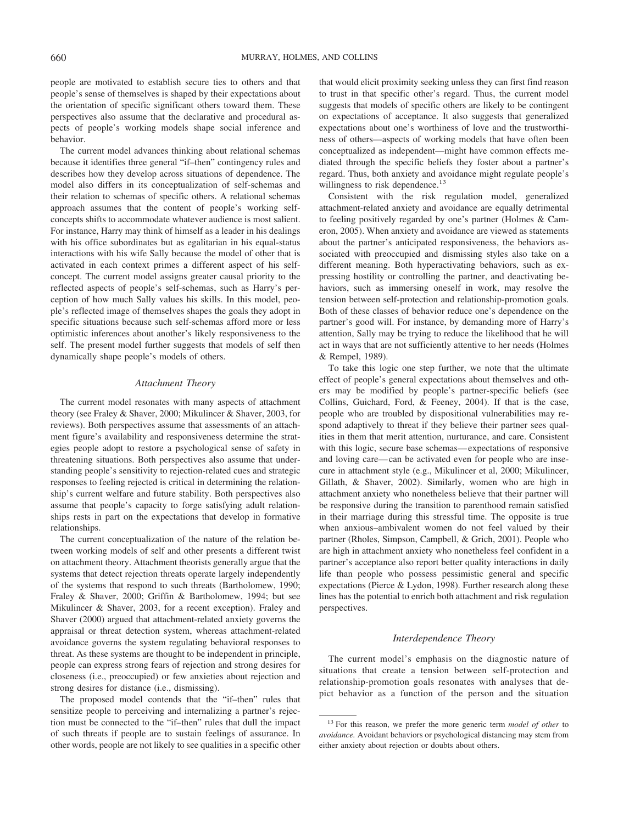people are motivated to establish secure ties to others and that people's sense of themselves is shaped by their expectations about the orientation of specific significant others toward them. These perspectives also assume that the declarative and procedural aspects of people's working models shape social inference and behavior.

The current model advances thinking about relational schemas because it identifies three general "if–then" contingency rules and describes how they develop across situations of dependence. The model also differs in its conceptualization of self-schemas and their relation to schemas of specific others. A relational schemas approach assumes that the content of people's working selfconcepts shifts to accommodate whatever audience is most salient. For instance, Harry may think of himself as a leader in his dealings with his office subordinates but as egalitarian in his equal-status interactions with his wife Sally because the model of other that is activated in each context primes a different aspect of his selfconcept. The current model assigns greater causal priority to the reflected aspects of people's self-schemas, such as Harry's perception of how much Sally values his skills. In this model, people's reflected image of themselves shapes the goals they adopt in specific situations because such self-schemas afford more or less optimistic inferences about another's likely responsiveness to the self. The present model further suggests that models of self then dynamically shape people's models of others.

### *Attachment Theory*

The current model resonates with many aspects of attachment theory (see Fraley & Shaver, 2000; Mikulincer & Shaver, 2003, for reviews). Both perspectives assume that assessments of an attachment figure's availability and responsiveness determine the strategies people adopt to restore a psychological sense of safety in threatening situations. Both perspectives also assume that understanding people's sensitivity to rejection-related cues and strategic responses to feeling rejected is critical in determining the relationship's current welfare and future stability. Both perspectives also assume that people's capacity to forge satisfying adult relationships rests in part on the expectations that develop in formative relationships.

The current conceptualization of the nature of the relation between working models of self and other presents a different twist on attachment theory. Attachment theorists generally argue that the systems that detect rejection threats operate largely independently of the systems that respond to such threats (Bartholomew, 1990; Fraley & Shaver, 2000; Griffin & Bartholomew, 1994; but see Mikulincer & Shaver, 2003, for a recent exception). Fraley and Shaver (2000) argued that attachment-related anxiety governs the appraisal or threat detection system, whereas attachment-related avoidance governs the system regulating behavioral responses to threat. As these systems are thought to be independent in principle, people can express strong fears of rejection and strong desires for closeness (i.e., preoccupied) or few anxieties about rejection and strong desires for distance (i.e., dismissing).

The proposed model contends that the "if–then" rules that sensitize people to perceiving and internalizing a partner's rejection must be connected to the "if–then" rules that dull the impact of such threats if people are to sustain feelings of assurance. In other words, people are not likely to see qualities in a specific other that would elicit proximity seeking unless they can first find reason to trust in that specific other's regard. Thus, the current model suggests that models of specific others are likely to be contingent on expectations of acceptance. It also suggests that generalized expectations about one's worthiness of love and the trustworthiness of others—aspects of working models that have often been conceptualized as independent—might have common effects mediated through the specific beliefs they foster about a partner's regard. Thus, both anxiety and avoidance might regulate people's willingness to risk dependence.<sup>13</sup>

Consistent with the risk regulation model, generalized attachment-related anxiety and avoidance are equally detrimental to feeling positively regarded by one's partner (Holmes & Cameron, 2005). When anxiety and avoidance are viewed as statements about the partner's anticipated responsiveness, the behaviors associated with preoccupied and dismissing styles also take on a different meaning. Both hyperactivating behaviors, such as expressing hostility or controlling the partner, and deactivating behaviors, such as immersing oneself in work, may resolve the tension between self-protection and relationship-promotion goals. Both of these classes of behavior reduce one's dependence on the partner's good will. For instance, by demanding more of Harry's attention, Sally may be trying to reduce the likelihood that he will act in ways that are not sufficiently attentive to her needs (Holmes & Rempel, 1989).

To take this logic one step further, we note that the ultimate effect of people's general expectations about themselves and others may be modified by people's partner-specific beliefs (see Collins, Guichard, Ford, & Feeney, 2004). If that is the case, people who are troubled by dispositional vulnerabilities may respond adaptively to threat if they believe their partner sees qualities in them that merit attention, nurturance, and care. Consistent with this logic, secure base schemas— expectations of responsive and loving care— can be activated even for people who are insecure in attachment style (e.g., Mikulincer et al, 2000; Mikulincer, Gillath, & Shaver, 2002). Similarly, women who are high in attachment anxiety who nonetheless believe that their partner will be responsive during the transition to parenthood remain satisfied in their marriage during this stressful time. The opposite is true when anxious–ambivalent women do not feel valued by their partner (Rholes, Simpson, Campbell, & Grich, 2001). People who are high in attachment anxiety who nonetheless feel confident in a partner's acceptance also report better quality interactions in daily life than people who possess pessimistic general and specific expectations (Pierce & Lydon, 1998). Further research along these lines has the potential to enrich both attachment and risk regulation perspectives.

#### *Interdependence Theory*

The current model's emphasis on the diagnostic nature of situations that create a tension between self-protection and relationship-promotion goals resonates with analyses that depict behavior as a function of the person and the situation

<sup>&</sup>lt;sup>13</sup> For this reason, we prefer the more generic term *model of other* to *avoidance.* Avoidant behaviors or psychological distancing may stem from either anxiety about rejection or doubts about others.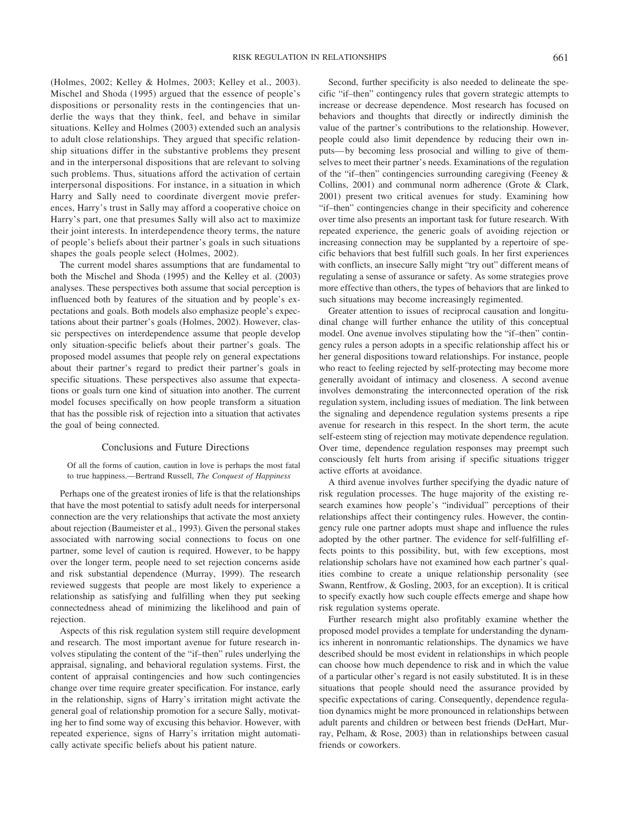(Holmes, 2002; Kelley & Holmes, 2003; Kelley et al., 2003). Mischel and Shoda (1995) argued that the essence of people's dispositions or personality rests in the contingencies that underlie the ways that they think, feel, and behave in similar situations. Kelley and Holmes (2003) extended such an analysis to adult close relationships. They argued that specific relationship situations differ in the substantive problems they present and in the interpersonal dispositions that are relevant to solving such problems. Thus, situations afford the activation of certain interpersonal dispositions. For instance, in a situation in which Harry and Sally need to coordinate divergent movie preferences, Harry's trust in Sally may afford a cooperative choice on Harry's part, one that presumes Sally will also act to maximize their joint interests. In interdependence theory terms, the nature of people's beliefs about their partner's goals in such situations shapes the goals people select (Holmes, 2002).

The current model shares assumptions that are fundamental to both the Mischel and Shoda (1995) and the Kelley et al. (2003) analyses. These perspectives both assume that social perception is influenced both by features of the situation and by people's expectations and goals. Both models also emphasize people's expectations about their partner's goals (Holmes, 2002). However, classic perspectives on interdependence assume that people develop only situation-specific beliefs about their partner's goals. The proposed model assumes that people rely on general expectations about their partner's regard to predict their partner's goals in specific situations. These perspectives also assume that expectations or goals turn one kind of situation into another. The current model focuses specifically on how people transform a situation that has the possible risk of rejection into a situation that activates the goal of being connected.

#### Conclusions and Future Directions

Of all the forms of caution, caution in love is perhaps the most fatal to true happiness.—Bertrand Russell, *The Conquest of Happiness*

Perhaps one of the greatest ironies of life is that the relationships that have the most potential to satisfy adult needs for interpersonal connection are the very relationships that activate the most anxiety about rejection (Baumeister et al., 1993). Given the personal stakes associated with narrowing social connections to focus on one partner, some level of caution is required. However, to be happy over the longer term, people need to set rejection concerns aside and risk substantial dependence (Murray, 1999). The research reviewed suggests that people are most likely to experience a relationship as satisfying and fulfilling when they put seeking connectedness ahead of minimizing the likelihood and pain of rejection.

Aspects of this risk regulation system still require development and research. The most important avenue for future research involves stipulating the content of the "if–then" rules underlying the appraisal, signaling, and behavioral regulation systems. First, the content of appraisal contingencies and how such contingencies change over time require greater specification. For instance, early in the relationship, signs of Harry's irritation might activate the general goal of relationship promotion for a secure Sally, motivating her to find some way of excusing this behavior. However, with repeated experience, signs of Harry's irritation might automatically activate specific beliefs about his patient nature.

Second, further specificity is also needed to delineate the specific "if–then" contingency rules that govern strategic attempts to increase or decrease dependence. Most research has focused on behaviors and thoughts that directly or indirectly diminish the value of the partner's contributions to the relationship. However, people could also limit dependence by reducing their own inputs— by becoming less prosocial and willing to give of themselves to meet their partner's needs. Examinations of the regulation of the "if–then" contingencies surrounding caregiving (Feeney & Collins, 2001) and communal norm adherence (Grote & Clark, 2001) present two critical avenues for study. Examining how "if–then" contingencies change in their specificity and coherence over time also presents an important task for future research. With repeated experience, the generic goals of avoiding rejection or increasing connection may be supplanted by a repertoire of specific behaviors that best fulfill such goals. In her first experiences with conflicts, an insecure Sally might "try out" different means of regulating a sense of assurance or safety. As some strategies prove more effective than others, the types of behaviors that are linked to such situations may become increasingly regimented.

Greater attention to issues of reciprocal causation and longitudinal change will further enhance the utility of this conceptual model. One avenue involves stipulating how the "if–then" contingency rules a person adopts in a specific relationship affect his or her general dispositions toward relationships. For instance, people who react to feeling rejected by self-protecting may become more generally avoidant of intimacy and closeness. A second avenue involves demonstrating the interconnected operation of the risk regulation system, including issues of mediation. The link between the signaling and dependence regulation systems presents a ripe avenue for research in this respect. In the short term, the acute self-esteem sting of rejection may motivate dependence regulation. Over time, dependence regulation responses may preempt such consciously felt hurts from arising if specific situations trigger active efforts at avoidance.

A third avenue involves further specifying the dyadic nature of risk regulation processes. The huge majority of the existing research examines how people's "individual" perceptions of their relationships affect their contingency rules. However, the contingency rule one partner adopts must shape and influence the rules adopted by the other partner. The evidence for self-fulfilling effects points to this possibility, but, with few exceptions, most relationship scholars have not examined how each partner's qualities combine to create a unique relationship personality (see Swann, Rentfrow, & Gosling, 2003, for an exception). It is critical to specify exactly how such couple effects emerge and shape how risk regulation systems operate.

Further research might also profitably examine whether the proposed model provides a template for understanding the dynamics inherent in nonromantic relationships. The dynamics we have described should be most evident in relationships in which people can choose how much dependence to risk and in which the value of a particular other's regard is not easily substituted. It is in these situations that people should need the assurance provided by specific expectations of caring. Consequently, dependence regulation dynamics might be more pronounced in relationships between adult parents and children or between best friends (DeHart, Murray, Pelham, & Rose, 2003) than in relationships between casual friends or coworkers.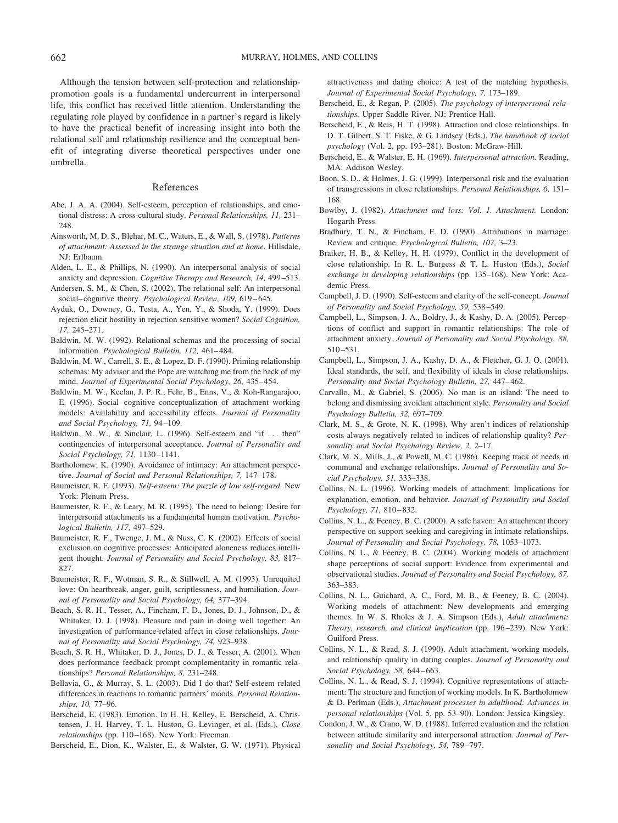Although the tension between self-protection and relationshippromotion goals is a fundamental undercurrent in interpersonal life, this conflict has received little attention. Understanding the regulating role played by confidence in a partner's regard is likely to have the practical benefit of increasing insight into both the relational self and relationship resilience and the conceptual benefit of integrating diverse theoretical perspectives under one umbrella.

#### References

- Abe, J. A. A. (2004). Self-esteem, perception of relationships, and emotional distress: A cross-cultural study. *Personal Relationships, 11,* 231– 248.
- Ainsworth, M. D. S., Blehar, M. C., Waters, E., & Wall, S. (1978). *Patterns of attachment: Assessed in the strange situation and at home.* Hillsdale, NJ: Erlbaum.
- Alden, L. E., & Phillips, N. (1990). An interpersonal analysis of social anxiety and depression. *Cognitive Therapy and Research, 14,* 499 –513. Andersen, S. M., & Chen, S. (2002). The relational self: An interpersonal
- social–cognitive theory. *Psychological Review, 109,* 619–645.
- Ayduk, O., Downey, G., Testa, A., Yen, Y., & Shoda, Y. (1999). Does rejection elicit hostility in rejection sensitive women? *Social Cognition, 17,* 245–271.
- Baldwin, M. W. (1992). Relational schemas and the processing of social information. *Psychological Bulletin, 112, 461-484.*
- Baldwin, M. W., Carrell, S. E., & Lopez, D. F. (1990). Priming relationship schemas: My advisor and the Pope are watching me from the back of my mind. *Journal of Experimental Social Psychology, 26,* 435– 454.
- Baldwin, M. W., Keelan, J. P. R., Fehr, B., Enns, V., & Koh-Rangarajoo, E. (1996). Social– cognitive conceptualization of attachment working models: Availability and accessibility effects. *Journal of Personality and Social Psychology, 71,* 94 –109.
- Baldwin, M. W., & Sinclair, L. (1996). Self-esteem and "if . . . then" contingencies of interpersonal acceptance. *Journal of Personality and Social Psychology, 71,* 1130 –1141.
- Bartholomew, K. (1990). Avoidance of intimacy: An attachment perspective. *Journal of Social and Personal Relationships, 7,* 147–178.
- Baumeister, R. F. (1993). *Self-esteem: The puzzle of low self-regard.* New York: Plenum Press.
- Baumeister, R. F., & Leary, M. R. (1995). The need to belong: Desire for interpersonal attachments as a fundamental human motivation. *Psychological Bulletin, 117,* 497–529.
- Baumeister, R. F., Twenge, J. M., & Nuss, C. K. (2002). Effects of social exclusion on cognitive processes: Anticipated aloneness reduces intelligent thought. *Journal of Personality and Social Psychology, 83,* 817– 827.
- Baumeister, R. F., Wotman, S. R., & Stillwell, A. M. (1993). Unrequited love: On heartbreak, anger, guilt, scriptlessness, and humiliation. *Journal of Personality and Social Psychology, 64,* 377–394.
- Beach, S. R. H., Tesser, A., Fincham, F. D., Jones, D. J., Johnson, D., & Whitaker, D. J. (1998). Pleasure and pain in doing well together: An investigation of performance-related affect in close relationships. *Journal of Personality and Social Psychology, 74,* 923–938.
- Beach, S. R. H., Whitaker, D. J., Jones, D. J., & Tesser, A. (2001). When does performance feedback prompt complementarity in romantic relationships? *Personal Relationships, 8,* 231–248.
- Bellavia, G., & Murray, S. L. (2003). Did I do that? Self-esteem related differences in reactions to romantic partners' moods. *Personal Relationships, 10,* 77–96.
- Berscheid, E. (1983). Emotion. In H. H. Kelley, E. Berscheid, A. Christensen, J. H. Harvey, T. L. Huston, G. Levinger, et al. (Eds.), *Close relationships* (pp. 110–168). New York: Freeman.
- Berscheid, E., Dion, K., Walster, E., & Walster, G. W. (1971). Physical

attractiveness and dating choice: A test of the matching hypothesis. *Journal of Experimental Social Psychology, 7,* 173–189.

- Berscheid, E., & Regan, P. (2005). *The psychology of interpersonal relationships.* Upper Saddle River, NJ: Prentice Hall.
- Berscheid, E., & Reis, H. T. (1998). Attraction and close relationships. In D. T. Gilbert, S. T. Fiske, & G. Lindsey (Eds.), *The handbook of social psychology* (Vol. 2, pp. 193–281). Boston: McGraw-Hill.
- Berscheid, E., & Walster, E. H. (1969). *Interpersonal attraction.* Reading, MA: Addison Wesley.
- Boon, S. D., & Holmes, J. G. (1999). Interpersonal risk and the evaluation of transgressions in close relationships. *Personal Relationships, 6,* 151– 168.
- Bowlby, J. (1982). *Attachment and loss: Vol. 1. Attachment.* London: Hogarth Press.
- Bradbury, T. N., & Fincham, F. D. (1990). Attributions in marriage: Review and critique. *Psychological Bulletin, 107,* 3–23.
- Braiker, H. B., & Kelley, H. H. (1979). Conflict in the development of close relationship. In R. L. Burgess & T. L. Huston (Eds.), *Social exchange in developing relationships* (pp. 135–168). New York: Academic Press.
- Campbell, J. D. (1990). Self-esteem and clarity of the self-concept. *Journal of Personality and Social Psychology, 59,* 538 –549.
- Campbell, L., Simpson, J. A., Boldry, J., & Kashy, D. A. (2005). Perceptions of conflict and support in romantic relationships: The role of attachment anxiety. *Journal of Personality and Social Psychology, 88,* 510 –531.
- Campbell, L., Simpson, J. A., Kashy, D. A., & Fletcher, G. J. O. (2001). Ideal standards, the self, and flexibility of ideals in close relationships. *Personality and Social Psychology Bulletin, 27,* 447– 462.
- Carvallo, M., & Gabriel, S. (2006). No man is an island: The need to belong and dismissing avoidant attachment style. *Personality and Social Psychology Bulletin, 32,* 697–709.
- Clark, M. S., & Grote, N. K. (1998). Why aren't indices of relationship costs always negatively related to indices of relationship quality? *Personality and Social Psychology Review, 2,* 2–17.
- Clark, M. S., Mills, J., & Powell, M. C. (1986). Keeping track of needs in communal and exchange relationships. *Journal of Personality and Social Psychology, 51,* 333–338.
- Collins, N. L. (1996). Working models of attachment: Implications for explanation, emotion, and behavior. *Journal of Personality and Social Psychology, 71,* 810 – 832.
- Collins, N. L., & Feeney, B. C. (2000). A safe haven: An attachment theory perspective on support seeking and caregiving in intimate relationships. *Journal of Personality and Social Psychology, 78,* 1053–1073.
- Collins, N. L., & Feeney, B. C. (2004). Working models of attachment shape perceptions of social support: Evidence from experimental and observational studies. *Journal of Personality and Social Psychology, 87,* 363–383.
- Collins, N. L., Guichard, A. C., Ford, M. B., & Feeney, B. C. (2004). Working models of attachment: New developments and emerging themes. In W. S. Rholes & J. A. Simpson (Eds.), *Adult attachment: Theory, research, and clinical implication* (pp. 196 –239). New York: Guilford Press.
- Collins, N. L., & Read, S. J. (1990). Adult attachment, working models, and relationship quality in dating couples. *Journal of Personality and Social Psychology, 58,* 644 – 663.
- Collins, N. L., & Read, S. J. (1994). Cognitive representations of attachment: The structure and function of working models. In K. Bartholomew & D. Perlman (Eds.), *Attachment processes in adulthood: Advances in personal relationships* (Vol. 5, pp. 53–90). London: Jessica Kingsley.
- Condon, J. W., & Crano, W. D. (1988). Inferred evaluation and the relation between attitude similarity and interpersonal attraction. *Journal of Personality and Social Psychology, 54,* 789 –797.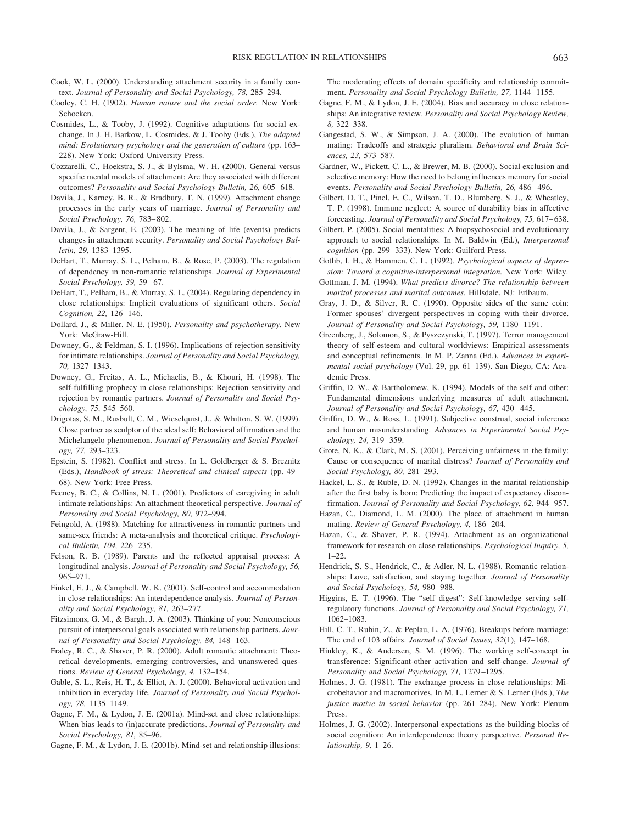- Cook, W. L. (2000). Understanding attachment security in a family context. *Journal of Personality and Social Psychology, 78,* 285–294.
- Cooley, C. H. (1902). *Human nature and the social order.* New York: Schocken.
- Cosmides, L., & Tooby, J. (1992). Cognitive adaptations for social exchange. In J. H. Barkow, L. Cosmides, & J. Tooby (Eds.), *The adapted mind: Evolutionary psychology and the generation of culture* (pp. 163– 228). New York: Oxford University Press.
- Cozzarelli, C., Hoekstra, S. J., & Bylsma, W. H. (2000). General versus specific mental models of attachment: Are they associated with different outcomes? Personality and Social Psychology Bulletin, 26, 605-618.
- Davila, J., Karney, B. R., & Bradbury, T. N. (1999). Attachment change processes in the early years of marriage. *Journal of Personality and Social Psychology, 76,* 783– 802.
- Davila, J., & Sargent, E. (2003). The meaning of life (events) predicts changes in attachment security. *Personality and Social Psychology Bulletin, 29,* 1383–1395.
- DeHart, T., Murray, S. L., Pelham, B., & Rose, P. (2003). The regulation of dependency in non-romantic relationships. *Journal of Experimental Social Psychology, 39,* 59 – 67.
- DeHart, T., Pelham, B., & Murray, S. L. (2004). Regulating dependency in close relationships: Implicit evaluations of significant others. *Social Cognition, 22,* 126 –146.
- Dollard, J., & Miller, N. E. (1950). *Personality and psychotherapy.* New York: McGraw-Hill.
- Downey, G., & Feldman, S. I. (1996). Implications of rejection sensitivity for intimate relationships. *Journal of Personality and Social Psychology, 70,* 1327–1343.
- Downey, G., Freitas, A. L., Michaelis, B., & Khouri, H. (1998). The self-fulfilling prophecy in close relationships: Rejection sensitivity and rejection by romantic partners. *Journal of Personality and Social Psychology, 75,* 545–560.
- Drigotas, S. M., Rusbult, C. M., Wieselquist, J., & Whitton, S. W. (1999). Close partner as sculptor of the ideal self: Behavioral affirmation and the Michelangelo phenomenon. *Journal of Personality and Social Psychology, 77,* 293–323.
- Epstein, S. (1982). Conflict and stress. In L. Goldberger & S. Breznitz (Eds.), *Handbook of stress: Theoretical and clinical aspects* (pp. 49 – 68). New York: Free Press.
- Feeney, B. C., & Collins, N. L. (2001). Predictors of caregiving in adult intimate relationships: An attachment theoretical perspective. *Journal of Personality and Social Psychology, 80,* 972–994.
- Feingold, A. (1988). Matching for attractiveness in romantic partners and same-sex friends: A meta-analysis and theoretical critique. *Psychological Bulletin, 104,* 226 –235.
- Felson, R. B. (1989). Parents and the reflected appraisal process: A longitudinal analysis. *Journal of Personality and Social Psychology, 56,* 965–971.
- Finkel, E. J., & Campbell, W. K. (2001). Self-control and accommodation in close relationships: An interdependence analysis. *Journal of Personality and Social Psychology, 81,* 263–277.
- Fitzsimons, G. M., & Bargh, J. A. (2003). Thinking of you: Nonconscious pursuit of interpersonal goals associated with relationship partners. *Journal of Personality and Social Psychology, 84,* 148 –163.
- Fraley, R. C., & Shaver, P. R. (2000). Adult romantic attachment: Theoretical developments, emerging controversies, and unanswered questions. *Review of General Psychology, 4,* 132–154.
- Gable, S. L., Reis, H. T., & Elliot, A. J. (2000). Behavioral activation and inhibition in everyday life. *Journal of Personality and Social Psychology, 78,* 1135–1149.
- Gagne, F. M., & Lydon, J. E. (2001a). Mind-set and close relationships: When bias leads to (in)accurate predictions. *Journal of Personality and Social Psychology, 81,* 85–96.

Gagne, F. M., & Lydon, J. E. (2001b). Mind-set and relationship illusions:

The moderating effects of domain specificity and relationship commitment. *Personality and Social Psychology Bulletin, 27,* 1144 –1155.

- Gagne, F. M., & Lydon, J. E. (2004). Bias and accuracy in close relationships: An integrative review. *Personality and Social Psychology Review, 8,* 322–338.
- Gangestad, S. W., & Simpson, J. A. (2000). The evolution of human mating: Tradeoffs and strategic pluralism. *Behavioral and Brain Sciences, 23,* 573–587.
- Gardner, W., Pickett, C. L., & Brewer, M. B. (2000). Social exclusion and selective memory: How the need to belong influences memory for social events. *Personality and Social Psychology Bulletin, 26,* 486 – 496.
- Gilbert, D. T., Pinel, E. C., Wilson, T. D., Blumberg, S. J., & Wheatley, T. P. (1998). Immune neglect: A source of durability bias in affective forecasting. *Journal of Personality and Social Psychology, 75,* 617– 638.
- Gilbert, P. (2005). Social mentalities: A biopsychosocial and evolutionary approach to social relationships. In M. Baldwin (Ed.), *Interpersonal cognition* (pp. 299 –333). New York: Guilford Press.
- Gotlib, I. H., & Hammen, C. L. (1992). *Psychological aspects of depression: Toward a cognitive-interpersonal integration.* New York: Wiley.
- Gottman, J. M. (1994). *What predicts divorce? The relationship between marital processes and marital outcomes.* Hillsdale, NJ: Erlbaum.
- Gray, J. D., & Silver, R. C. (1990). Opposite sides of the same coin: Former spouses' divergent perspectives in coping with their divorce. *Journal of Personality and Social Psychology, 59,* 1180 –1191.
- Greenberg, J., Solomon, S., & Pyszczynski, T. (1997). Terror management theory of self-esteem and cultural worldviews: Empirical assessments and conceptual refinements. In M. P. Zanna (Ed.), *Advances in experimental social psychology* (Vol. 29, pp. 61–139). San Diego, CA: Academic Press.
- Griffin, D. W., & Bartholomew, K. (1994). Models of the self and other: Fundamental dimensions underlying measures of adult attachment. Journal of Personality and Social Psychology, 67, 430-445.
- Griffin, D. W., & Ross, L. (1991). Subjective construal, social inference and human misunderstanding. *Advances in Experimental Social Psychology, 24,* 319 –359.
- Grote, N. K., & Clark, M. S. (2001). Perceiving unfairness in the family: Cause or consequence of marital distress? *Journal of Personality and Social Psychology, 80,* 281–293.
- Hackel, L. S., & Ruble, D. N. (1992). Changes in the marital relationship after the first baby is born: Predicting the impact of expectancy disconfirmation. *Journal of Personality and Social Psychology, 62,* 944 –957.
- Hazan, C., Diamond, L. M. (2000). The place of attachment in human mating. *Review of General Psychology, 4,* 186 –204.
- Hazan, C., & Shaver, P. R. (1994). Attachment as an organizational framework for research on close relationships. *Psychological Inquiry, 5,* 1–22.
- Hendrick, S. S., Hendrick, C., & Adler, N. L. (1988). Romantic relationships: Love, satisfaction, and staying together. *Journal of Personality and Social Psychology, 54,* 980 –988.
- Higgins, E. T. (1996). The "self digest": Self-knowledge serving selfregulatory functions. *Journal of Personality and Social Psychology, 71,* 1062–1083.
- Hill, C. T., Rubin, Z., & Peplau, L. A. (1976). Breakups before marriage: The end of 103 affairs. *Journal of Social Issues, 32*(1), 147–168.
- Hinkley, K., & Andersen, S. M. (1996). The working self-concept in transference: Significant-other activation and self-change. *Journal of Personality and Social Psychology, 71,* 1279 –1295.
- Holmes, J. G. (1981). The exchange process in close relationships: Microbehavior and macromotives. In M. L. Lerner & S. Lerner (Eds.), *The justice motive in social behavior* (pp. 261–284). New York: Plenum Press.
- Holmes, J. G. (2002). Interpersonal expectations as the building blocks of social cognition: An interdependence theory perspective. *Personal Relationship, 9,* 1–26.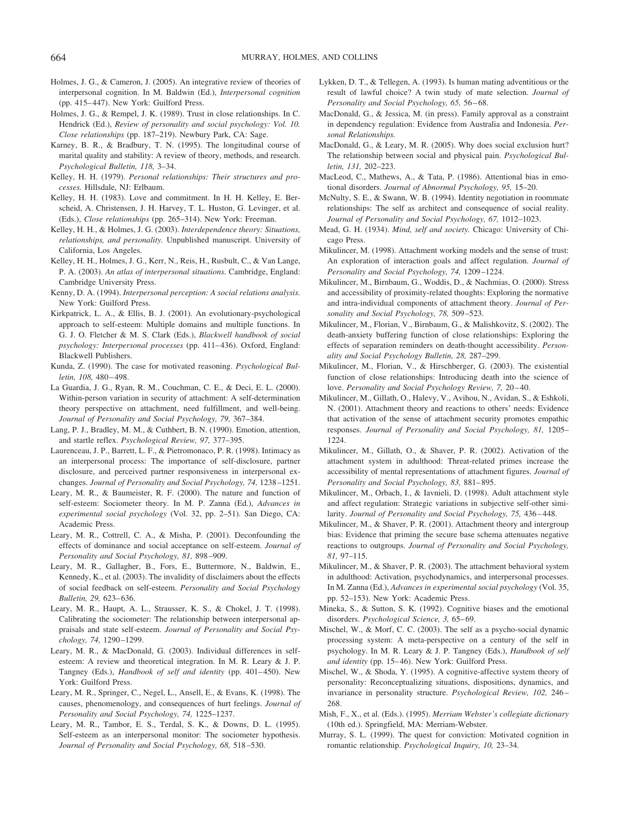- Holmes, J. G., & Cameron, J. (2005). An integrative review of theories of interpersonal cognition. In M. Baldwin (Ed.), *Interpersonal cognition* (pp. 415– 447). New York: Guilford Press.
- Holmes, J. G., & Rempel, J. K. (1989). Trust in close relationships. In C. Hendrick (Ed.), *Review of personality and social psychology: Vol. 10. Close relationships* (pp. 187–219). Newbury Park, CA: Sage.
- Karney, B. R., & Bradbury, T. N. (1995). The longitudinal course of marital quality and stability: A review of theory, methods, and research. *Psychological Bulletin, 118,* 3–34.
- Kelley, H. H. (1979). *Personal relationships: Their structures and processes.* Hillsdale, NJ: Erlbaum.
- Kelley, H. H. (1983). Love and commitment. In H. H. Kelley, E. Berscheid, A. Christensen, J. H. Harvey, T. L. Huston, G. Levinger, et al. (Eds.), *Close relationships* (pp. 265–314). New York: Freeman.
- Kelley, H. H., & Holmes, J. G. (2003). *Interdependence theory: Situations, relationships, and personality.* Unpublished manuscript. University of California, Los Angeles.
- Kelley, H. H., Holmes, J. G., Kerr, N., Reis, H., Rusbult, C., & Van Lange, P. A. (2003). *An atlas of interpersonal situations.* Cambridge, England: Cambridge University Press.
- Kenny, D. A. (1994). *Interpersonal perception: A social relations analysis.* New York: Guilford Press.
- Kirkpatrick, L. A., & Ellis, B. J. (2001). An evolutionary-psychological approach to self-esteem: Multiple domains and multiple functions. In G. J. O. Fletcher & M. S. Clark (Eds.), *Blackwell handbook of social psychology: Interpersonal processes* (pp. 411– 436). Oxford, England: Blackwell Publishers.
- Kunda, Z. (1990). The case for motivated reasoning. *Psychological Bulletin, 108, 480-498.*
- La Guardia, J. G., Ryan, R. M., Couchman, C. E., & Deci, E. L. (2000). Within-person variation in security of attachment: A self-determination theory perspective on attachment, need fulfillment, and well-being. *Journal of Personality and Social Psychology, 79,* 367–384.
- Lang, P. J., Bradley, M. M., & Cuthbert, B. N. (1990). Emotion, attention, and startle reflex. *Psychological Review, 97,* 377–395.
- Laurenceau, J. P., Barrett, L. F., & Pietromonaco, P. R. (1998). Intimacy as an interpersonal process: The importance of self-disclosure, partner disclosure, and perceived partner responsiveness in interpersonal exchanges. *Journal of Personality and Social Psychology, 74,* 1238 –1251.
- Leary, M. R., & Baumeister, R. F. (2000). The nature and function of self-esteem: Sociometer theory. In M. P. Zanna (Ed.), *Advances in experimental social psychology* (Vol. 32, pp. 2–51). San Diego, CA: Academic Press.
- Leary, M. R., Cottrell, C. A., & Misha, P. (2001). Deconfounding the effects of dominance and social acceptance on self-esteem. *Journal of Personality and Social Psychology, 81,* 898 –909.
- Leary, M. R., Gallagher, B., Fors, E., Buttermore, N., Baldwin, E., Kennedy, K., et al. (2003). The invalidity of disclaimers about the effects of social feedback on self-esteem. *Personality and Social Psychology Bulletin, 29,* 623– 636.
- Leary, M. R., Haupt, A. L., Strausser, K. S., & Chokel, J. T. (1998). Calibrating the sociometer: The relationship between interpersonal appraisals and state self-esteem. *Journal of Personality and Social Psychology, 74,* 1290 –1299.
- Leary, M. R., & MacDonald, G. (2003). Individual differences in selfesteem: A review and theoretical integration. In M. R. Leary & J. P. Tangney (Eds.), *Handbook of self and identity* (pp. 401-450). New York: Guilford Press.
- Leary, M. R., Springer, C., Negel, L., Ansell, E., & Evans, K. (1998). The causes, phenomenology, and consequences of hurt feelings. *Journal of Personality and Social Psychology, 74,* 1225–1237.
- Leary, M. R., Tambor, E. S., Terdal, S. K., & Downs, D. L. (1995). Self-esteem as an interpersonal monitor: The sociometer hypothesis. *Journal of Personality and Social Psychology, 68,* 518 –530.
- Lykken, D. T., & Tellegen, A. (1993). Is human mating adventitious or the result of lawful choice? A twin study of mate selection. *Journal of Personality and Social Psychology, 65,* 56 – 68.
- MacDonald, G., & Jessica, M. (in press). Family approval as a constraint in dependency regulation: Evidence from Australia and Indonesia. *Personal Relationships.*
- MacDonald, G., & Leary, M. R. (2005). Why does social exclusion hurt? The relationship between social and physical pain. *Psychological Bulletin, 131,* 202–223.
- MacLeod, C., Mathews, A., & Tata, P. (1986). Attentional bias in emotional disorders. *Journal of Abnormal Psychology, 95,* 15–20.
- McNulty, S. E., & Swann, W. B. (1994). Identity negotiation in roommate relationships: The self as architect and consequence of social reality. *Journal of Personality and Social Psychology, 67,* 1012–1023.
- Mead, G. H. (1934). *Mind, self and society.* Chicago: University of Chicago Press.
- Mikulincer, M. (1998). Attachment working models and the sense of trust: An exploration of interaction goals and affect regulation. *Journal of Personality and Social Psychology, 74,* 1209 –1224.
- Mikulincer, M., Birnbaum, G., Woddis, D., & Nachmias, O. (2000). Stress and accessibility of proximity-related thoughts: Exploring the normative and intra-individual components of attachment theory. *Journal of Personality and Social Psychology, 78,* 509 –523.
- Mikulincer, M., Florian, V., Birnbaum, G., & Malishkovitz, S. (2002). The death-anxiety buffering function of close relationships: Exploring the effects of separation reminders on death-thought accessibility. *Personality and Social Psychology Bulletin, 28,* 287–299.
- Mikulincer, M., Florian, V., & Hirschberger, G. (2003). The existential function of close relationships: Introducing death into the science of love. Personality and Social Psychology Review, 7, 20-40.
- Mikulincer, M., Gillath, O., Halevy, V., Avihou, N., Avidan, S., & Eshkoli, N. (2001). Attachment theory and reactions to others' needs: Evidence that activation of the sense of attachment security promotes empathic responses. *Journal of Personality and Social Psychology, 81,* 1205– 1224.
- Mikulincer, M., Gillath, O., & Shaver, P. R. (2002). Activation of the attachment system in adulthood: Threat-related primes increase the accessibility of mental representations of attachment figures. *Journal of Personality and Social Psychology, 83,* 881– 895.
- Mikulincer, M., Orbach, I., & Iavnieli, D. (1998). Adult attachment style and affect regulation: Strategic variations in subjective self-other similarity. *Journal of Personality and Social Psychology, 75, 436-448*.
- Mikulincer, M., & Shaver, P. R. (2001). Attachment theory and intergroup bias: Evidence that priming the secure base schema attenuates negative reactions to outgroups. *Journal of Personality and Social Psychology, 81,* 97–115.
- Mikulincer, M., & Shaver, P. R. (2003). The attachment behavioral system in adulthood: Activation, psychodynamics, and interpersonal processes. In M. Zanna (Ed.), *Advances in experimental social psychology* (Vol. 35, pp. 52–153). New York: Academic Press.
- Mineka, S., & Sutton, S. K. (1992). Cognitive biases and the emotional disorders. *Psychological Science*, 3, 65-69.
- Mischel, W., & Morf, C. C. (2003). The self as a psycho-social dynamic processing system: A meta-perspective on a century of the self in psychology. In M. R. Leary & J. P. Tangney (Eds.), *Handbook of self* and identity (pp. 15–46). New York: Guilford Press.
- Mischel, W., & Shoda, Y. (1995). A cognitive-affective system theory of personality: Reconceptualizing situations, dispositions, dynamics, and invariance in personality structure. *Psychological Review, 102,* 246 – 268.
- Mish, F., X., et al. (Eds.). (1995). *Merriam Webster's collegiate dictionary* (10th ed.). Springfield, MA: Merriam-Webster.
- Murray, S. L. (1999). The quest for conviction: Motivated cognition in romantic relationship. *Psychological Inquiry, 10,* 23–34.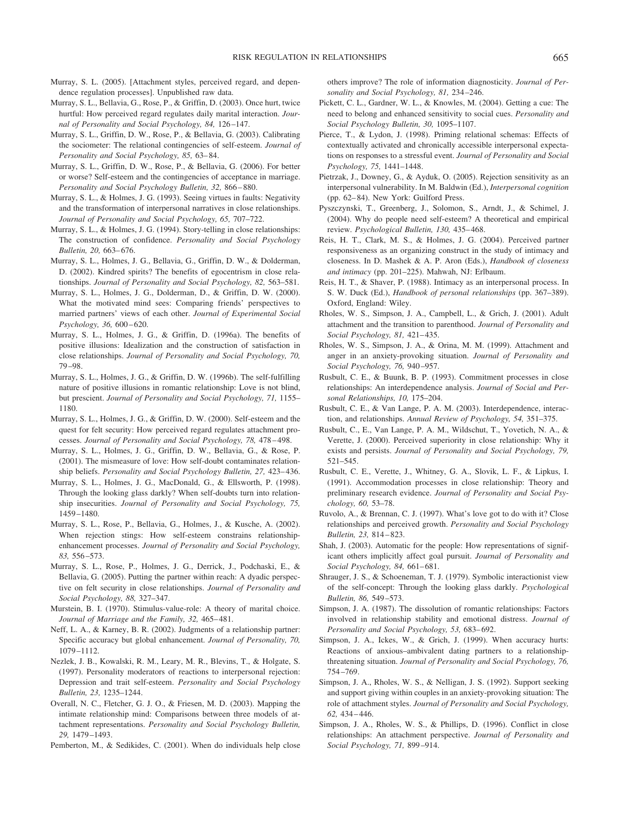- Murray, S. L. (2005). [Attachment styles, perceived regard, and dependence regulation processes]. Unpublished raw data.
- Murray, S. L., Bellavia, G., Rose, P., & Griffin, D. (2003). Once hurt, twice hurtful: How perceived regard regulates daily marital interaction. *Jour*nal of Personality and Social Psychology, 84, 126-147.
- Murray, S. L., Griffin, D. W., Rose, P., & Bellavia, G. (2003). Calibrating the sociometer: The relational contingencies of self-esteem. *Journal of Personality and Social Psychology, 85,* 63– 84.
- Murray, S. L., Griffin, D. W., Rose, P., & Bellavia, G. (2006). For better or worse? Self-esteem and the contingencies of acceptance in marriage. *Personality and Social Psychology Bulletin, 32,* 866 – 880.
- Murray, S. L., & Holmes, J. G. (1993). Seeing virtues in faults: Negativity and the transformation of interpersonal narratives in close relationships. *Journal of Personality and Social Psychology, 65,* 707–722.
- Murray, S. L., & Holmes, J. G. (1994). Story-telling in close relationships: The construction of confidence. *Personality and Social Psychology Bulletin, 20,* 663– 676.
- Murray, S. L., Holmes, J. G., Bellavia, G., Griffin, D. W., & Dolderman, D. (2002). Kindred spirits? The benefits of egocentrism in close relationships. *Journal of Personality and Social Psychology, 82,* 563–581.
- Murray, S. L., Holmes, J. G., Dolderman, D., & Griffin, D. W. (2000). What the motivated mind sees: Comparing friends' perspectives to married partners' views of each other. *Journal of Experimental Social Psychology, 36,* 600 – 620.
- Murray, S. L., Holmes, J. G., & Griffin, D. (1996a). The benefits of positive illusions: Idealization and the construction of satisfaction in close relationships. *Journal of Personality and Social Psychology, 70,* 79 –98.
- Murray, S. L., Holmes, J. G., & Griffin, D. W. (1996b). The self-fulfilling nature of positive illusions in romantic relationship: Love is not blind, but prescient. *Journal of Personality and Social Psychology, 71,* 1155– 1180.
- Murray, S. L., Holmes, J. G., & Griffin, D. W. (2000). Self-esteem and the quest for felt security: How perceived regard regulates attachment processes. *Journal of Personality and Social Psychology, 78,* 478 – 498.
- Murray, S. L., Holmes, J. G., Griffin, D. W., Bellavia, G., & Rose, P. (2001). The mismeasure of love: How self-doubt contaminates relationship beliefs. *Personality and Social Psychology Bulletin, 27,* 423– 436.
- Murray, S. L., Holmes, J. G., MacDonald, G., & Ellsworth, P. (1998). Through the looking glass darkly? When self-doubts turn into relationship insecurities. *Journal of Personality and Social Psychology, 75,* 1459 –1480.
- Murray, S. L., Rose, P., Bellavia, G., Holmes, J., & Kusche, A. (2002). When rejection stings: How self-esteem constrains relationshipenhancement processes. *Journal of Personality and Social Psychology, 83,* 556 –573.
- Murray, S. L., Rose, P., Holmes, J. G., Derrick, J., Podchaski, E., & Bellavia, G. (2005). Putting the partner within reach: A dyadic perspective on felt security in close relationships. *Journal of Personality and Social Psychology, 88,* 327–347.
- Murstein, B. I. (1970). Stimulus-value-role: A theory of marital choice. Journal of Marriage and the Family, 32, 465-481.
- Neff, L. A., & Karney, B. R. (2002). Judgments of a relationship partner: Specific accuracy but global enhancement. *Journal of Personality, 70,* 1079 –1112.
- Nezlek, J. B., Kowalski, R. M., Leary, M. R., Blevins, T., & Holgate, S. (1997). Personality moderators of reactions to interpersonal rejection: Depression and trait self-esteem. *Personality and Social Psychology Bulletin, 23,* 1235–1244.
- Overall, N. C., Fletcher, G. J. O., & Friesen, M. D. (2003). Mapping the intimate relationship mind: Comparisons between three models of attachment representations. *Personality and Social Psychology Bulletin, 29,* 1479 –1493.
- Pemberton, M., & Sedikides, C. (2001). When do individuals help close

others improve? The role of information diagnosticity. *Journal of Personality and Social Psychology, 81,* 234 –246.

- Pickett, C. L., Gardner, W. L., & Knowles, M. (2004). Getting a cue: The need to belong and enhanced sensitivity to social cues. *Personality and Social Psychology Bulletin, 30,* 1095–1107.
- Pierce, T., & Lydon, J. (1998). Priming relational schemas: Effects of contextually activated and chronically accessible interpersonal expectations on responses to a stressful event. *Journal of Personality and Social Psychology, 75,* 1441–1448.
- Pietrzak, J., Downey, G., & Ayduk, O. (2005). Rejection sensitivity as an interpersonal vulnerability. In M. Baldwin (Ed.), *Interpersonal cognition* (pp. 62– 84). New York: Guilford Press.
- Pyszczynski, T., Greenberg, J., Solomon, S., Arndt, J., & Schimel, J. (2004). Why do people need self-esteem? A theoretical and empirical review. *Psychological Bulletin, 130,* 435– 468.
- Reis, H. T., Clark, M. S., & Holmes, J. G. (2004). Perceived partner responsiveness as an organizing construct in the study of intimacy and closeness. In D. Mashek & A. P. Aron (Eds.), *Handbook of closeness and intimacy* (pp. 201–225). Mahwah, NJ: Erlbaum.
- Reis, H. T., & Shaver, P. (1988). Intimacy as an interpersonal process. In S. W. Duck (Ed.), *Handbook of personal relationships* (pp. 367–389). Oxford, England: Wiley.
- Rholes, W. S., Simpson, J. A., Campbell, L., & Grich, J. (2001). Adult attachment and the transition to parenthood. *Journal of Personality and Social Psychology, 81,* 421– 435.
- Rholes, W. S., Simpson, J. A., & Orina, M. M. (1999). Attachment and anger in an anxiety-provoking situation. *Journal of Personality and Social Psychology, 76,* 940 –957.
- Rusbult, C. E., & Buunk, B. P. (1993). Commitment processes in close relationships: An interdependence analysis. *Journal of Social and Personal Relationships, 10,* 175–204.
- Rusbult, C. E., & Van Lange, P. A. M. (2003). Interdependence, interaction, and relationships. *Annual Review of Psychology, 54,* 351–375.
- Rusbult, C., E., Van Lange, P. A. M., Wildschut, T., Yovetich, N. A., & Verette, J. (2000). Perceived superiority in close relationship: Why it exists and persists. *Journal of Personality and Social Psychology, 79,* 521–545.
- Rusbult, C. E., Verette, J., Whitney, G. A., Slovik, L. F., & Lipkus, I. (1991). Accommodation processes in close relationship: Theory and preliminary research evidence. *Journal of Personality and Social Psychology, 60,* 53–78.
- Ruvolo, A., & Brennan, C. J. (1997). What's love got to do with it? Close relationships and perceived growth. *Personality and Social Psychology Bulletin, 23,* 814 – 823.
- Shah, J. (2003). Automatic for the people: How representations of significant others implicitly affect goal pursuit. *Journal of Personality and Social Psychology, 84,* 661– 681.
- Shrauger, J. S., & Schoeneman, T. J. (1979). Symbolic interactionist view of the self-concept: Through the looking glass darkly. *Psychological Bulletin, 86,* 549 –573.
- Simpson, J. A. (1987). The dissolution of romantic relationships: Factors involved in relationship stability and emotional distress. *Journal of Personality and Social Psychology, 53,* 683– 692.
- Simpson, J. A., Ickes, W., & Grich, J. (1999). When accuracy hurts: Reactions of anxious–ambivalent dating partners to a relationshipthreatening situation. *Journal of Personality and Social Psychology, 76,* 754 –769.
- Simpson, J. A., Rholes, W. S., & Nelligan, J. S. (1992). Support seeking and support giving within couples in an anxiety-provoking situation: The role of attachment styles. *Journal of Personality and Social Psychology, 62,* 434 – 446.
- Simpson, J. A., Rholes, W. S., & Phillips, D. (1996). Conflict in close relationships: An attachment perspective. *Journal of Personality and Social Psychology, 71,* 899 –914.